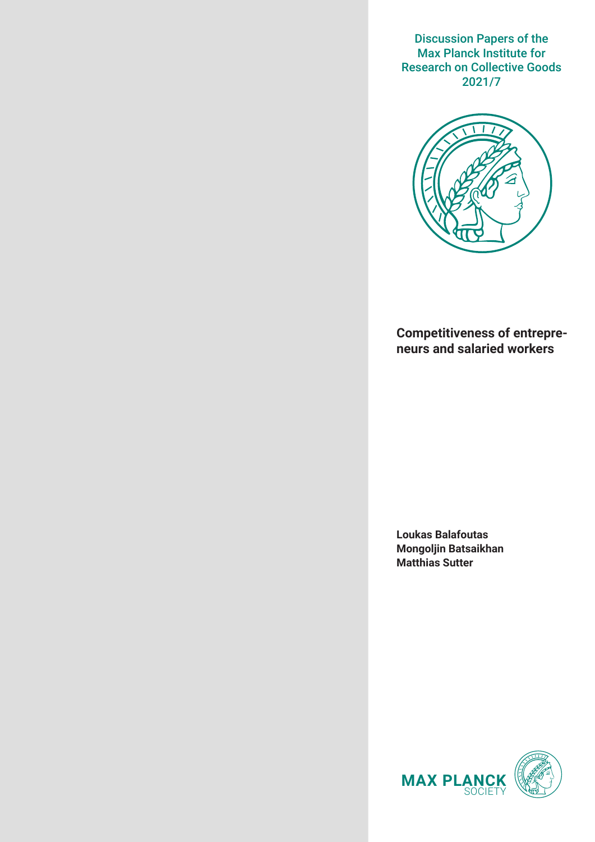Discussion Papers of the Max Planck Institute for Research on Collective Goods 2021/7



# **Competitiveness of entrepreneurs and salaried workers**

**Loukas Balafoutas Mongoljin Batsaikhan Matthias Sutter**

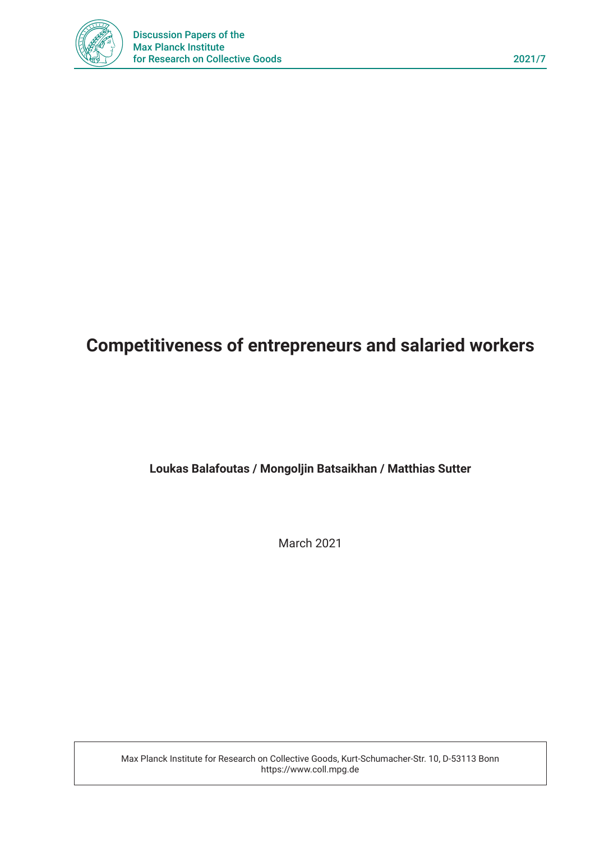

# **Competitiveness of entrepreneurs and salaried workers**

# **Loukas Balafoutas / Mongoljin Batsaikhan / Matthias Sutter**

March 2021

Max Planck Institute for Research on Collective Goods, Kurt-Schumacher-Str. 10, D-53113 Bonn https://www.coll.mpg.de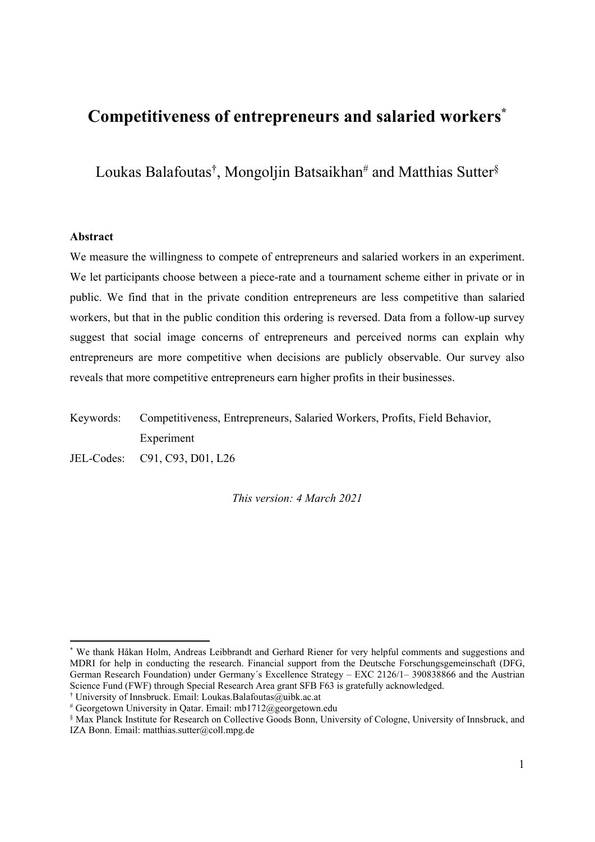# **Competitiveness of entrepreneurs and salaried workers\***

Loukas Balafoutas<sup>†</sup>, Mongoljin Batsaikhan<sup>#</sup> and Matthias Sutter<sup>§</sup>

# **Abstract**

-

We measure the willingness to compete of entrepreneurs and salaried workers in an experiment. We let participants choose between a piece-rate and a tournament scheme either in private or in public. We find that in the private condition entrepreneurs are less competitive than salaried workers, but that in the public condition this ordering is reversed. Data from a follow-up survey suggest that social image concerns of entrepreneurs and perceived norms can explain why entrepreneurs are more competitive when decisions are publicly observable. Our survey also reveals that more competitive entrepreneurs earn higher profits in their businesses.

Keywords: Competitiveness, Entrepreneurs, Salaried Workers, Profits, Field Behavior, Experiment

JEL-Codes: C91, C93, D01, L26

*This version: 4 March 2021* 

<sup>\*</sup> We thank Håkan Holm, Andreas Leibbrandt and Gerhard Riener for very helpful comments and suggestions and MDRI for help in conducting the research. Financial support from the Deutsche Forschungsgemeinschaft (DFG, German Research Foundation) under Germany´s Excellence Strategy – EXC 2126/1– 390838866 and the Austrian Science Fund (FWF) through Special Research Area grant SFB F63 is gratefully acknowledged.

<sup>†</sup> University of Innsbruck. Email: Loukas.Balafoutas@uibk.ac.at

<sup>#</sup> Georgetown University in Qatar. Email: mb1712@georgetown.edu

<sup>§</sup> Max Planck Institute for Research on Collective Goods Bonn, University of Cologne, University of Innsbruck, and IZA Bonn. Email: matthias.sutter@coll.mpg.de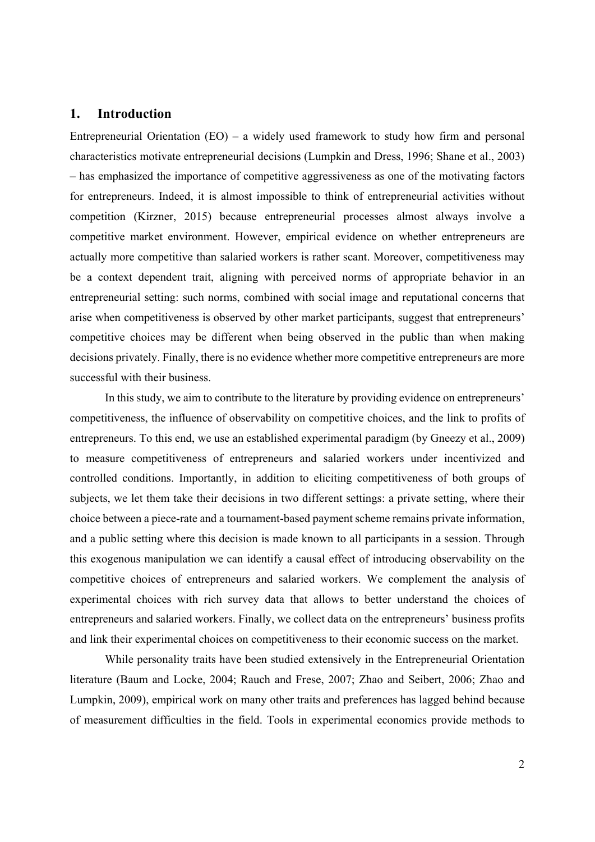# **1. Introduction**

Entrepreneurial Orientation  $(EO)$  – a widely used framework to study how firm and personal characteristics motivate entrepreneurial decisions (Lumpkin and Dress, 1996; Shane et al., 2003) – has emphasized the importance of competitive aggressiveness as one of the motivating factors for entrepreneurs. Indeed, it is almost impossible to think of entrepreneurial activities without competition (Kirzner, 2015) because entrepreneurial processes almost always involve a competitive market environment. However, empirical evidence on whether entrepreneurs are actually more competitive than salaried workers is rather scant. Moreover, competitiveness may be a context dependent trait, aligning with perceived norms of appropriate behavior in an entrepreneurial setting: such norms, combined with social image and reputational concerns that arise when competitiveness is observed by other market participants, suggest that entrepreneurs' competitive choices may be different when being observed in the public than when making decisions privately. Finally, there is no evidence whether more competitive entrepreneurs are more successful with their business.

In this study, we aim to contribute to the literature by providing evidence on entrepreneurs' competitiveness, the influence of observability on competitive choices, and the link to profits of entrepreneurs. To this end, we use an established experimental paradigm (by Gneezy et al., 2009) to measure competitiveness of entrepreneurs and salaried workers under incentivized and controlled conditions. Importantly, in addition to eliciting competitiveness of both groups of subjects, we let them take their decisions in two different settings: a private setting, where their choice between a piece-rate and a tournament-based payment scheme remains private information, and a public setting where this decision is made known to all participants in a session. Through this exogenous manipulation we can identify a causal effect of introducing observability on the competitive choices of entrepreneurs and salaried workers. We complement the analysis of experimental choices with rich survey data that allows to better understand the choices of entrepreneurs and salaried workers. Finally, we collect data on the entrepreneurs' business profits and link their experimental choices on competitiveness to their economic success on the market.

While personality traits have been studied extensively in the Entrepreneurial Orientation literature (Baum and Locke, 2004; Rauch and Frese, 2007; Zhao and Seibert, 2006; Zhao and Lumpkin, 2009), empirical work on many other traits and preferences has lagged behind because of measurement difficulties in the field. Tools in experimental economics provide methods to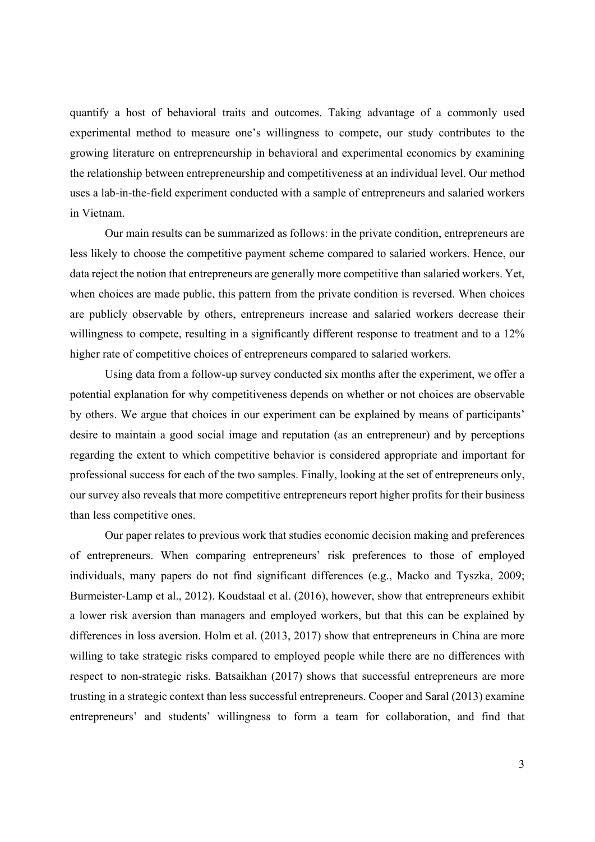quantify a host of behavioral traits and outcomes. Taking advantage of a commonly used experimental method to measure one's willingness to compete, our study contributes to the growing literature on entrepreneurship in behavioral and experimental economics by examining the relationship between entrepreneurship and competitiveness at an individual level. Our method uses a lab-in-the-field experiment conducted with a sample of entrepreneurs and salaried workers in Vietnam.

Our main results can be summarized as follows: in the private condition, entrepreneurs are less likely to choose the competitive payment scheme compared to salaried workers. Hence, our data reject the notion that entrepreneurs are generally more competitive than salaried workers. Yet, when choices are made public, this pattern from the private condition is reversed. When choices are publicly observable by others, entrepreneurs increase and salaried workers decrease their willingness to compete, resulting in a significantly different response to treatment and to a 12% higher rate of competitive choices of entrepreneurs compared to salaried workers.

Using data from a follow-up survey conducted six months after the experiment, we offer a potential explanation for why competitiveness depends on whether or not choices are observable by others. We argue that choices in our experiment can be explained by means of participants' desire to maintain a good social image and reputation (as an entrepreneur) and by perceptions regarding the extent to which competitive behavior is considered appropriate and important for professional success for each of the two samples. Finally, looking at the set of entrepreneurs only, our survey also reveals that more competitive entrepreneurs report higher profits for their business than less competitive ones.

Our paper relates to previous work that studies economic decision making and preferences of entrepreneurs. When comparing entrepreneurs' risk preferences to those of employed individuals, many papers do not find significant differences (e.g., Macko and Tyszka, 2009; Burmeister-Lamp et al., 2012). Koudstaal et al. (2016), however, show that entrepreneurs exhibit a lower risk aversion than managers and employed workers, but that this can be explained by differences in loss aversion. Holm et al. (2013, 2017) show that entrepreneurs in China are more willing to take strategic risks compared to employed people while there are no differences with respect to non-strategic risks. Batsaikhan (2017) shows that successful entrepreneurs are more trusting in a strategic context than less successful entrepreneurs. Cooper and Saral (2013) examine entrepreneurs' and students' willingness to form a team for collaboration, and find that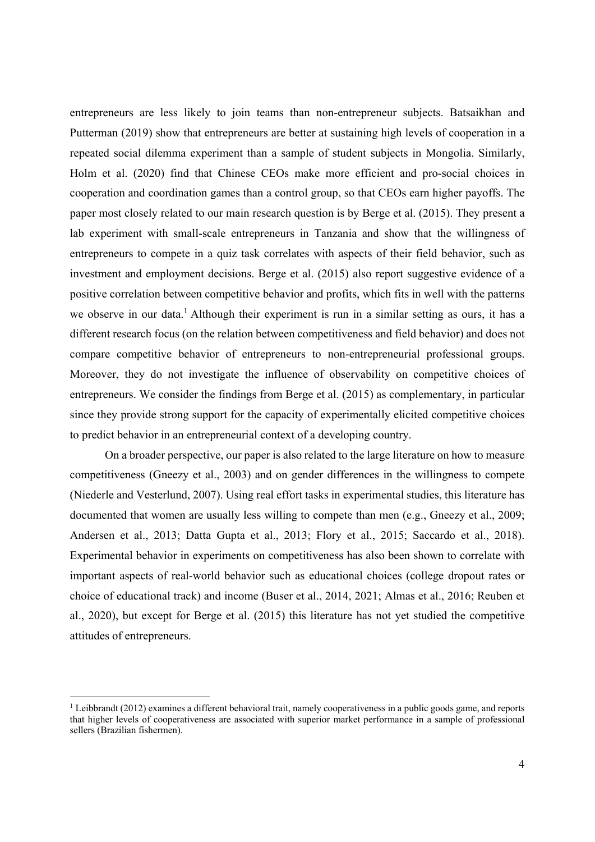entrepreneurs are less likely to join teams than non-entrepreneur subjects. Batsaikhan and Putterman (2019) show that entrepreneurs are better at sustaining high levels of cooperation in a repeated social dilemma experiment than a sample of student subjects in Mongolia. Similarly, Holm et al. (2020) find that Chinese CEOs make more efficient and pro-social choices in cooperation and coordination games than a control group, so that CEOs earn higher payoffs. The paper most closely related to our main research question is by Berge et al. (2015). They present a lab experiment with small-scale entrepreneurs in Tanzania and show that the willingness of entrepreneurs to compete in a quiz task correlates with aspects of their field behavior, such as investment and employment decisions. Berge et al. (2015) also report suggestive evidence of a positive correlation between competitive behavior and profits, which fits in well with the patterns we observe in our data.<sup>1</sup> Although their experiment is run in a similar setting as ours, it has a different research focus (on the relation between competitiveness and field behavior) and does not compare competitive behavior of entrepreneurs to non-entrepreneurial professional groups. Moreover, they do not investigate the influence of observability on competitive choices of entrepreneurs. We consider the findings from Berge et al. (2015) as complementary, in particular since they provide strong support for the capacity of experimentally elicited competitive choices to predict behavior in an entrepreneurial context of a developing country.

On a broader perspective, our paper is also related to the large literature on how to measure competitiveness (Gneezy et al., 2003) and on gender differences in the willingness to compete (Niederle and Vesterlund, 2007). Using real effort tasks in experimental studies, this literature has documented that women are usually less willing to compete than men (e.g., Gneezy et al., 2009; Andersen et al., 2013; Datta Gupta et al., 2013; Flory et al., 2015; Saccardo et al., 2018). Experimental behavior in experiments on competitiveness has also been shown to correlate with important aspects of real-world behavior such as educational choices (college dropout rates or choice of educational track) and income (Buser et al., 2014, 2021; Almas et al., 2016; Reuben et al., 2020), but except for Berge et al. (2015) this literature has not yet studied the competitive attitudes of entrepreneurs.

-

<sup>&</sup>lt;sup>1</sup> Leibbrandt (2012) examines a different behavioral trait, namely cooperativeness in a public goods game, and reports that higher levels of cooperativeness are associated with superior market performance in a sample of professional sellers (Brazilian fishermen).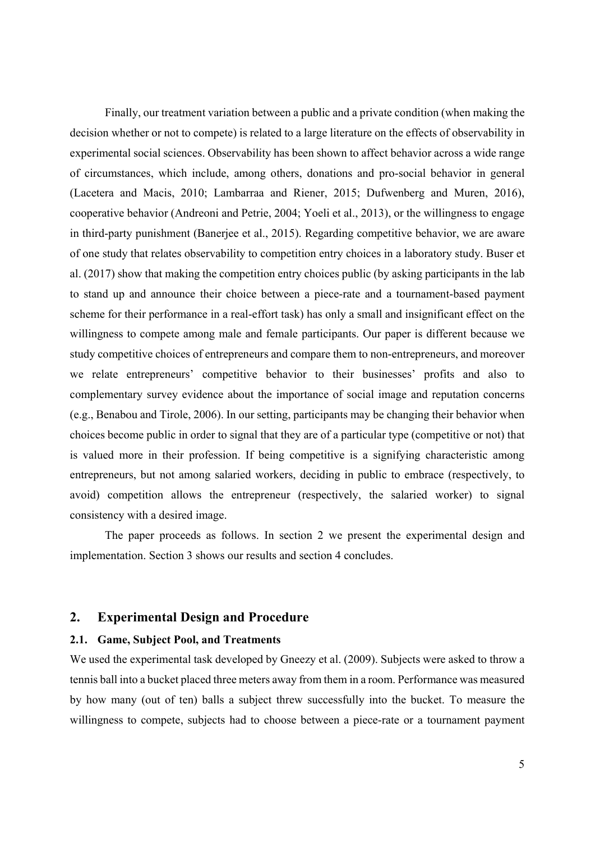Finally, our treatment variation between a public and a private condition (when making the decision whether or not to compete) is related to a large literature on the effects of observability in experimental social sciences. Observability has been shown to affect behavior across a wide range of circumstances, which include, among others, donations and pro-social behavior in general (Lacetera and Macis, 2010; Lambarraa and Riener, 2015; Dufwenberg and Muren, 2016), cooperative behavior (Andreoni and Petrie, 2004; Yoeli et al., 2013), or the willingness to engage in third-party punishment (Banerjee et al., 2015). Regarding competitive behavior, we are aware of one study that relates observability to competition entry choices in a laboratory study. Buser et al. (2017) show that making the competition entry choices public (by asking participants in the lab to stand up and announce their choice between a piece-rate and a tournament-based payment scheme for their performance in a real-effort task) has only a small and insignificant effect on the willingness to compete among male and female participants. Our paper is different because we study competitive choices of entrepreneurs and compare them to non-entrepreneurs, and moreover we relate entrepreneurs' competitive behavior to their businesses' profits and also to complementary survey evidence about the importance of social image and reputation concerns (e.g., Benabou and Tirole, 2006). In our setting, participants may be changing their behavior when choices become public in order to signal that they are of a particular type (competitive or not) that is valued more in their profession. If being competitive is a signifying characteristic among entrepreneurs, but not among salaried workers, deciding in public to embrace (respectively, to avoid) competition allows the entrepreneur (respectively, the salaried worker) to signal consistency with a desired image.

The paper proceeds as follows. In section 2 we present the experimental design and implementation. Section 3 shows our results and section 4 concludes.

## **2. Experimental Design and Procedure**

# **2.1. Game, Subject Pool, and Treatments**

We used the experimental task developed by Gneezy et al. (2009). Subjects were asked to throw a tennis ball into a bucket placed three meters away from them in a room. Performance was measured by how many (out of ten) balls a subject threw successfully into the bucket. To measure the willingness to compete, subjects had to choose between a piece-rate or a tournament payment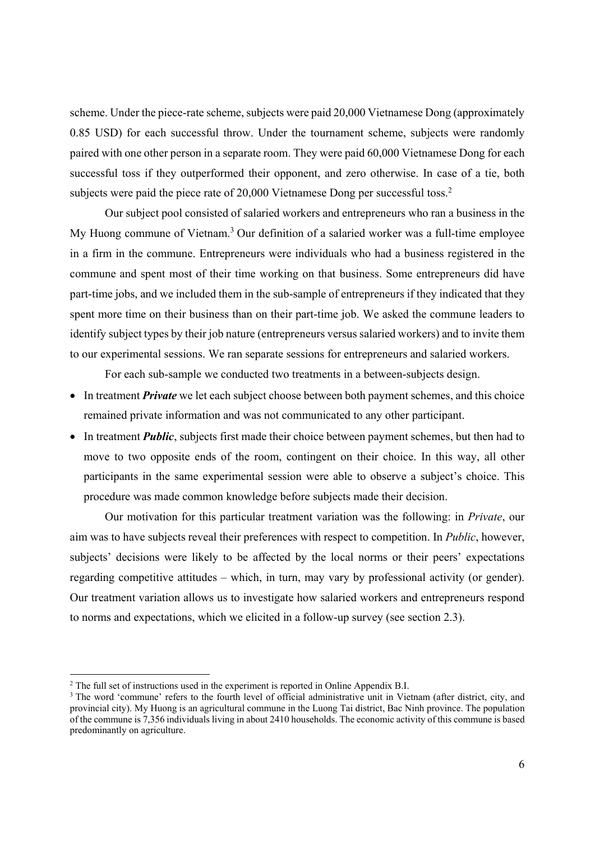scheme. Under the piece-rate scheme, subjects were paid 20,000 Vietnamese Dong (approximately 0.85 USD) for each successful throw. Under the tournament scheme, subjects were randomly paired with one other person in a separate room. They were paid 60,000 Vietnamese Dong for each successful toss if they outperformed their opponent, and zero otherwise. In case of a tie, both subjects were paid the piece rate of 20,000 Vietnamese Dong per successful toss.<sup>2</sup>

Our subject pool consisted of salaried workers and entrepreneurs who ran a business in the My Huong commune of Vietnam.<sup>3</sup> Our definition of a salaried worker was a full-time employee in a firm in the commune. Entrepreneurs were individuals who had a business registered in the commune and spent most of their time working on that business. Some entrepreneurs did have part-time jobs, and we included them in the sub-sample of entrepreneurs if they indicated that they spent more time on their business than on their part-time job. We asked the commune leaders to identify subject types by their job nature (entrepreneurs versus salaried workers) and to invite them to our experimental sessions. We ran separate sessions for entrepreneurs and salaried workers.

For each sub-sample we conducted two treatments in a between-subjects design.

- In treatment *Private* we let each subject choose between both payment schemes, and this choice remained private information and was not communicated to any other participant.
- In treatment *Public*, subjects first made their choice between payment schemes, but then had to move to two opposite ends of the room, contingent on their choice. In this way, all other participants in the same experimental session were able to observe a subject's choice. This procedure was made common knowledge before subjects made their decision.

Our motivation for this particular treatment variation was the following: in *Private*, our aim was to have subjects reveal their preferences with respect to competition. In *Public*, however, subjects' decisions were likely to be affected by the local norms or their peers' expectations regarding competitive attitudes – which, in turn, may vary by professional activity (or gender). Our treatment variation allows us to investigate how salaried workers and entrepreneurs respond to norms and expectations, which we elicited in a follow-up survey (see section 2.3).

-

 $2$  The full set of instructions used in the experiment is reported in Online Appendix B.I.

<sup>&</sup>lt;sup>3</sup> The word 'commune' refers to the fourth level of official administrative unit in Vietnam (after district, city, and provincial city). My Huong is an agricultural commune in the Luong Tai district, Bac Ninh province. The population of the commune is 7,356 individuals living in about 2410 households. The economic activity of this commune is based predominantly on agriculture.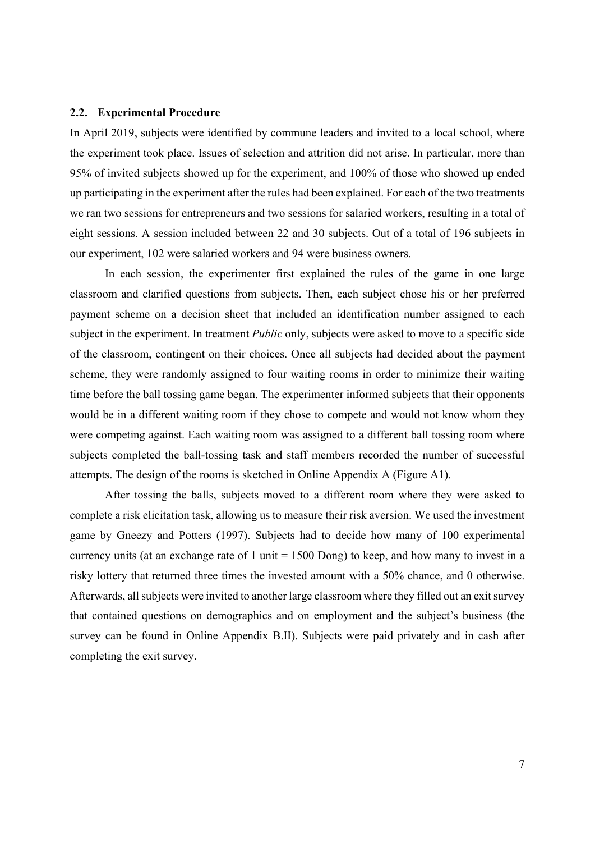#### **2.2. Experimental Procedure**

In April 2019, subjects were identified by commune leaders and invited to a local school, where the experiment took place. Issues of selection and attrition did not arise. In particular, more than 95% of invited subjects showed up for the experiment, and 100% of those who showed up ended up participating in the experiment after the rules had been explained. For each of the two treatments we ran two sessions for entrepreneurs and two sessions for salaried workers, resulting in a total of eight sessions. A session included between 22 and 30 subjects. Out of a total of 196 subjects in our experiment, 102 were salaried workers and 94 were business owners.

In each session, the experimenter first explained the rules of the game in one large classroom and clarified questions from subjects. Then, each subject chose his or her preferred payment scheme on a decision sheet that included an identification number assigned to each subject in the experiment. In treatment *Public* only, subjects were asked to move to a specific side of the classroom, contingent on their choices. Once all subjects had decided about the payment scheme, they were randomly assigned to four waiting rooms in order to minimize their waiting time before the ball tossing game began. The experimenter informed subjects that their opponents would be in a different waiting room if they chose to compete and would not know whom they were competing against. Each waiting room was assigned to a different ball tossing room where subjects completed the ball-tossing task and staff members recorded the number of successful attempts. The design of the rooms is sketched in Online Appendix A (Figure A1).

After tossing the balls, subjects moved to a different room where they were asked to complete a risk elicitation task, allowing us to measure their risk aversion. We used the investment game by Gneezy and Potters (1997). Subjects had to decide how many of 100 experimental currency units (at an exchange rate of 1 unit = 1500 Dong) to keep, and how many to invest in a risky lottery that returned three times the invested amount with a 50% chance, and 0 otherwise. Afterwards, all subjects were invited to another large classroom where they filled out an exit survey that contained questions on demographics and on employment and the subject's business (the survey can be found in Online Appendix B.II). Subjects were paid privately and in cash after completing the exit survey.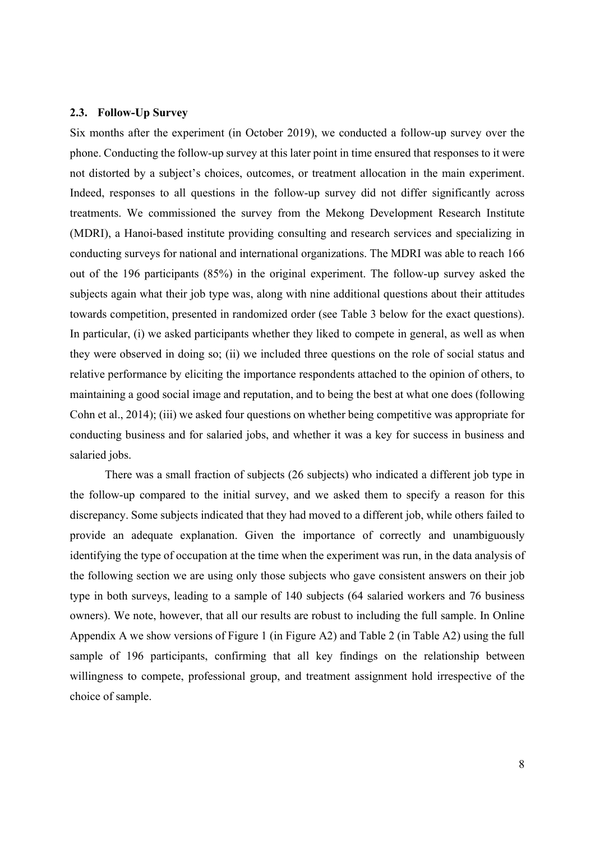#### **2.3. Follow-Up Survey**

Six months after the experiment (in October 2019), we conducted a follow-up survey over the phone. Conducting the follow-up survey at this later point in time ensured that responses to it were not distorted by a subject's choices, outcomes, or treatment allocation in the main experiment. Indeed, responses to all questions in the follow-up survey did not differ significantly across treatments. We commissioned the survey from the Mekong Development Research Institute (MDRI), a Hanoi-based institute providing consulting and research services and specializing in conducting surveys for national and international organizations. The MDRI was able to reach 166 out of the 196 participants (85%) in the original experiment. The follow-up survey asked the subjects again what their job type was, along with nine additional questions about their attitudes towards competition, presented in randomized order (see Table 3 below for the exact questions). In particular, (i) we asked participants whether they liked to compete in general, as well as when they were observed in doing so; (ii) we included three questions on the role of social status and relative performance by eliciting the importance respondents attached to the opinion of others, to maintaining a good social image and reputation, and to being the best at what one does (following Cohn et al., 2014); (iii) we asked four questions on whether being competitive was appropriate for conducting business and for salaried jobs, and whether it was a key for success in business and salaried jobs.

There was a small fraction of subjects (26 subjects) who indicated a different job type in the follow-up compared to the initial survey, and we asked them to specify a reason for this discrepancy. Some subjects indicated that they had moved to a different job, while others failed to provide an adequate explanation. Given the importance of correctly and unambiguously identifying the type of occupation at the time when the experiment was run, in the data analysis of the following section we are using only those subjects who gave consistent answers on their job type in both surveys, leading to a sample of 140 subjects (64 salaried workers and 76 business owners). We note, however, that all our results are robust to including the full sample. In Online Appendix A we show versions of Figure 1 (in Figure A2) and Table 2 (in Table A2) using the full sample of 196 participants, confirming that all key findings on the relationship between willingness to compete, professional group, and treatment assignment hold irrespective of the choice of sample.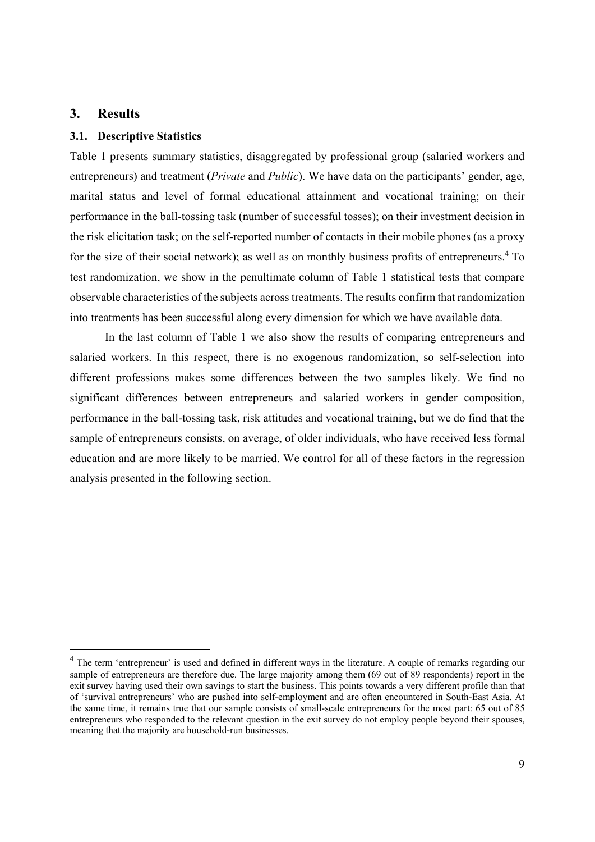# **3. Results**

1

### **3.1. Descriptive Statistics**

Table 1 presents summary statistics, disaggregated by professional group (salaried workers and entrepreneurs) and treatment (*Private* and *Public*). We have data on the participants' gender, age, marital status and level of formal educational attainment and vocational training; on their performance in the ball-tossing task (number of successful tosses); on their investment decision in the risk elicitation task; on the self-reported number of contacts in their mobile phones (as a proxy for the size of their social network); as well as on monthly business profits of entrepreneurs.<sup>4</sup> To test randomization, we show in the penultimate column of Table 1 statistical tests that compare observable characteristics of the subjects across treatments. The results confirm that randomization into treatments has been successful along every dimension for which we have available data.

In the last column of Table 1 we also show the results of comparing entrepreneurs and salaried workers. In this respect, there is no exogenous randomization, so self-selection into different professions makes some differences between the two samples likely. We find no significant differences between entrepreneurs and salaried workers in gender composition, performance in the ball-tossing task, risk attitudes and vocational training, but we do find that the sample of entrepreneurs consists, on average, of older individuals, who have received less formal education and are more likely to be married. We control for all of these factors in the regression analysis presented in the following section.

<sup>&</sup>lt;sup>4</sup> The term 'entrepreneur' is used and defined in different ways in the literature. A couple of remarks regarding our sample of entrepreneurs are therefore due. The large majority among them (69 out of 89 respondents) report in the exit survey having used their own savings to start the business. This points towards a very different profile than that of 'survival entrepreneurs' who are pushed into self-employment and are often encountered in South-East Asia. At the same time, it remains true that our sample consists of small-scale entrepreneurs for the most part: 65 out of 85 entrepreneurs who responded to the relevant question in the exit survey do not employ people beyond their spouses, meaning that the majority are household-run businesses.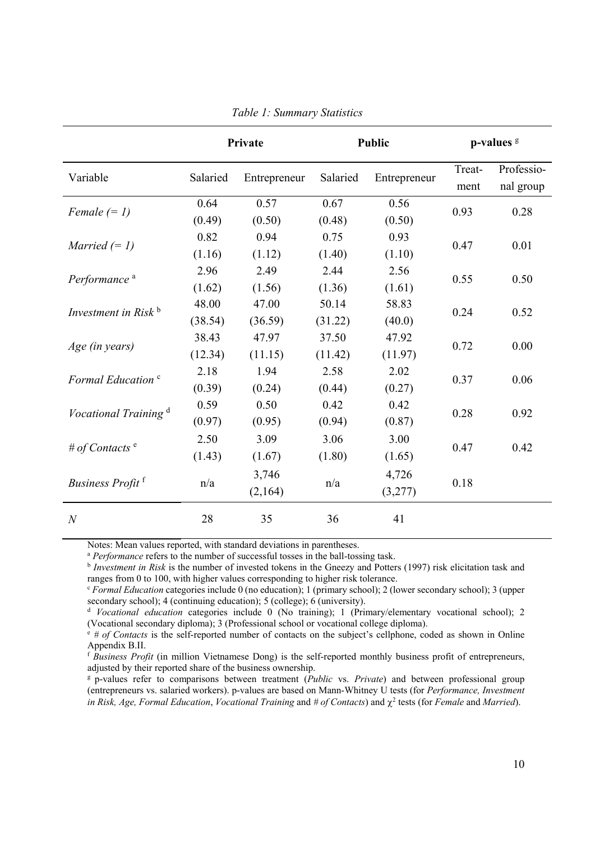|                                         |                  | Private          |                  | <b>Public</b>    |                | p-values <sup>g</sup>   |
|-----------------------------------------|------------------|------------------|------------------|------------------|----------------|-------------------------|
| Variable                                | Salaried         | Entrepreneur     | Salaried         | Entrepreneur     | Treat-<br>ment | Professio-<br>nal group |
| Female $(= 1)$                          | 0.64<br>(0.49)   | 0.57<br>(0.50)   | 0.67<br>(0.48)   | 0.56<br>(0.50)   | 0.93           | 0.28                    |
| <i>Married</i> $(= 1)$                  | 0.82<br>(1.16)   | 0.94<br>(1.12)   | 0.75<br>(1.40)   | 0.93<br>(1.10)   | 0.47           | 0.01                    |
| Performance <sup>a</sup>                | 2.96<br>(1.62)   | 2.49<br>(1.56)   | 2.44<br>(1.36)   | 2.56<br>(1.61)   | 0.55           | 0.50                    |
| Investment in Risk $\frac{b}{b}$        | 48.00<br>(38.54) | 47.00<br>(36.59) | 50.14<br>(31.22) | 58.83<br>(40.0)  | 0.24           | 0.52                    |
| Age (in years)                          | 38.43<br>(12.34) | 47.97<br>(11.15) | 37.50<br>(11.42) | 47.92<br>(11.97) | 0.72           | 0.00                    |
| Formal Education <sup>c</sup>           | 2.18<br>(0.39)   | 1.94<br>(0.24)   | 2.58<br>(0.44)   | 2.02<br>(0.27)   | 0.37           | 0.06                    |
| <i>Vocational Training</i> <sup>d</sup> | 0.59<br>(0.97)   | 0.50<br>(0.95)   | 0.42<br>(0.94)   | 0.42<br>(0.87)   | 0.28           | 0.92                    |
| # of Contacts $e$                       | 2.50<br>(1.43)   | 3.09<br>(1.67)   | 3.06<br>(1.80)   | 3.00<br>(1.65)   | 0.47           | 0.42                    |
| Business Profit <sup>f</sup>            | n/a              | 3,746<br>(2,164) | n/a              | 4,726<br>(3,277) | 0.18           |                         |
| $\boldsymbol{N}$                        | 28               | 35               | 36               | 41               |                |                         |

*Table 1: Summary Statistics* 

Notes: Mean values reported, with standard deviations in parentheses.

<sup>a</sup> *Performance* refers to the number of successful tosses in the ball-tossing task.<br><sup>b</sup> *Investment in Risk* is the number of invested tokens in the Gneezy and Potters (1997) risk elicitation task and ranges from 0 to 100, with higher values corresponding to higher risk tolerance.

<sup>c</sup> *Formal Education* categories include 0 (no education); 1 (primary school); 2 (lower secondary school); 3 (upper secondary school); 4 (continuing education); 5 (college); 6 (university).

<sup>d</sup> *Vocational education* categories include 0 (No training); 1 (Primary/elementary vocational school); 2 (Vocational secondary diploma); 3 (Professional school or vocational college diploma).

<sup>e</sup> *# of Contacts* is the self-reported number of contacts on the subject's cellphone, coded as shown in Online Appendix B.II.

<sup>f</sup> *Business Profit* (in million Vietnamese Dong) is the self-reported monthly business profit of entrepreneurs, adjusted by their reported share of the business ownership.

g p-values refer to comparisons between treatment (*Public* vs. *Private*) and between professional group (entrepreneurs vs. salaried workers). p-values are based on Mann-Whitney U tests (for *Performance, Investment*  in Risk, Age, Formal Education, Vocational Training and # of Contacts) and  $\chi^2$  tests (for *Female* and *Married*).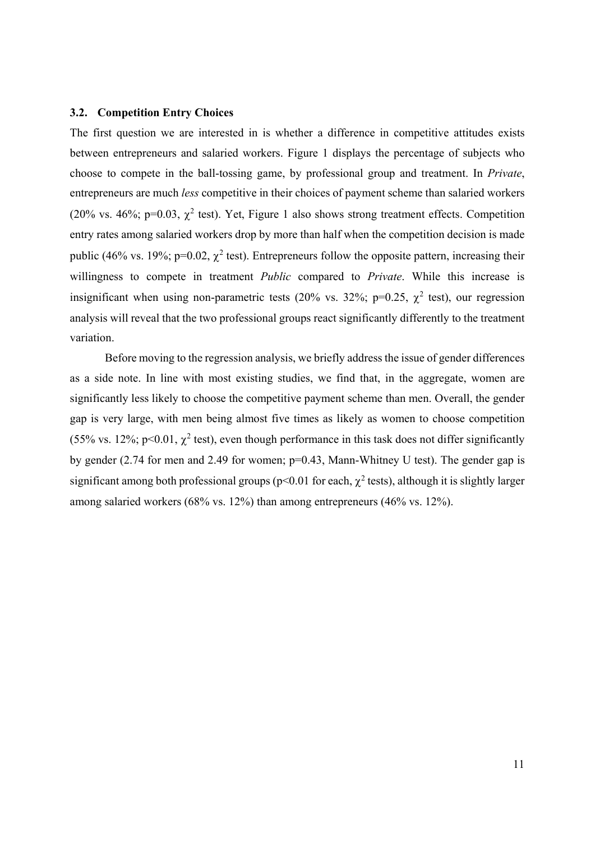#### **3.2. Competition Entry Choices**

The first question we are interested in is whether a difference in competitive attitudes exists between entrepreneurs and salaried workers. Figure 1 displays the percentage of subjects who choose to compete in the ball-tossing game, by professional group and treatment. In *Private*, entrepreneurs are much *less* competitive in their choices of payment scheme than salaried workers (20% vs. 46%; p=0.03,  $\chi^2$  test). Yet, Figure 1 also shows strong treatment effects. Competition entry rates among salaried workers drop by more than half when the competition decision is made public (46% vs. 19%; p=0.02,  $\chi^2$  test). Entrepreneurs follow the opposite pattern, increasing their willingness to compete in treatment *Public* compared to *Private*. While this increase is insignificant when using non-parametric tests (20% vs. 32%; p=0.25,  $\chi^2$  test), our regression analysis will reveal that the two professional groups react significantly differently to the treatment variation.

Before moving to the regression analysis, we briefly address the issue of gender differences as a side note. In line with most existing studies, we find that, in the aggregate, women are significantly less likely to choose the competitive payment scheme than men. Overall, the gender gap is very large, with men being almost five times as likely as women to choose competition (55% vs. 12%; p<0.01,  $\chi^2$  test), even though performance in this task does not differ significantly by gender (2.74 for men and 2.49 for women; p=0.43, Mann-Whitney U test). The gender gap is significant among both professional groups (p<0.01 for each,  $\chi^2$  tests), although it is slightly larger among salaried workers (68% vs. 12%) than among entrepreneurs (46% vs. 12%).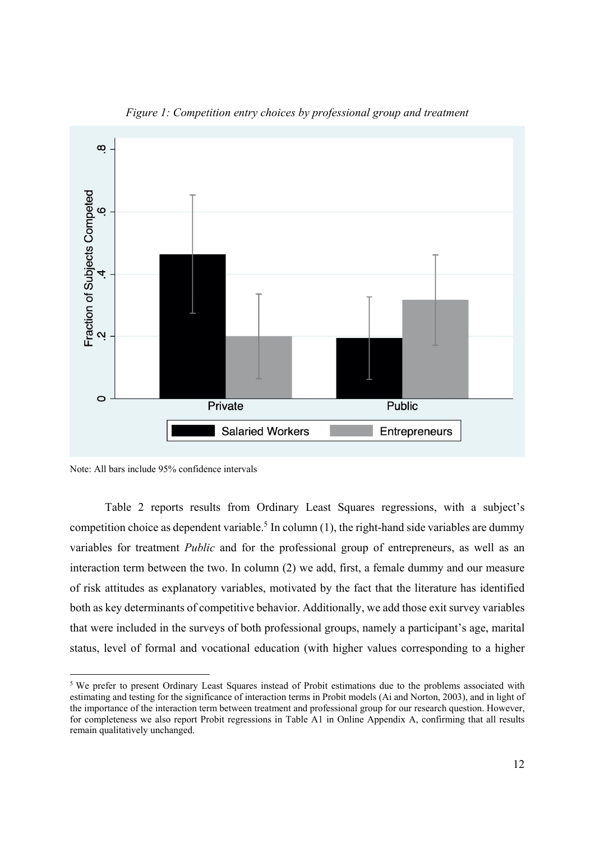

*Figure 1: Competition entry choices by professional group and treatment* 

-

Table 2 reports results from Ordinary Least Squares regressions, with a subject's competition choice as dependent variable.<sup>5</sup> In column (1), the right-hand side variables are dummy variables for treatment *Public* and for the professional group of entrepreneurs, as well as an interaction term between the two. In column (2) we add, first, a female dummy and our measure of risk attitudes as explanatory variables, motivated by the fact that the literature has identified both as key determinants of competitive behavior. Additionally, we add those exit survey variables that were included in the surveys of both professional groups, namely a participant's age, marital status, level of formal and vocational education (with higher values corresponding to a higher

Note: All bars include 95% confidence intervals

<sup>&</sup>lt;sup>5</sup> We prefer to present Ordinary Least Squares instead of Probit estimations due to the problems associated with estimating and testing for the significance of interaction terms in Probit models (Ai and Norton, 2003), and in light of the importance of the interaction term between treatment and professional group for our research question. However, for completeness we also report Probit regressions in Table A1 in Online Appendix A, confirming that all results remain qualitatively unchanged.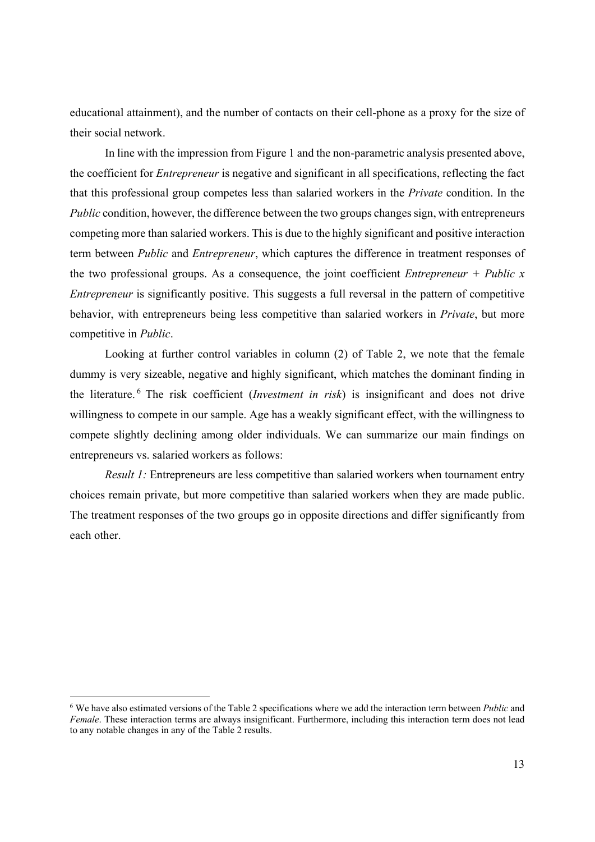educational attainment), and the number of contacts on their cell-phone as a proxy for the size of their social network.

In line with the impression from Figure 1 and the non-parametric analysis presented above, the coefficient for *Entrepreneur* is negative and significant in all specifications, reflecting the fact that this professional group competes less than salaried workers in the *Private* condition. In the *Public* condition, however, the difference between the two groups changes sign, with entrepreneurs competing more than salaried workers. This is due to the highly significant and positive interaction term between *Public* and *Entrepreneur*, which captures the difference in treatment responses of the two professional groups. As a consequence, the joint coefficient *Entrepreneur + Public x Entrepreneur* is significantly positive. This suggests a full reversal in the pattern of competitive behavior, with entrepreneurs being less competitive than salaried workers in *Private*, but more competitive in *Public*.

Looking at further control variables in column (2) of Table 2, we note that the female dummy is very sizeable, negative and highly significant, which matches the dominant finding in the literature. 6 The risk coefficient (*Investment in risk*) is insignificant and does not drive willingness to compete in our sample. Age has a weakly significant effect, with the willingness to compete slightly declining among older individuals. We can summarize our main findings on entrepreneurs vs. salaried workers as follows:

*Result 1:* Entrepreneurs are less competitive than salaried workers when tournament entry choices remain private, but more competitive than salaried workers when they are made public. The treatment responses of the two groups go in opposite directions and differ significantly from each other.

-

<sup>6</sup> We have also estimated versions of the Table 2 specifications where we add the interaction term between *Public* and *Female*. These interaction terms are always insignificant. Furthermore, including this interaction term does not lead to any notable changes in any of the Table 2 results.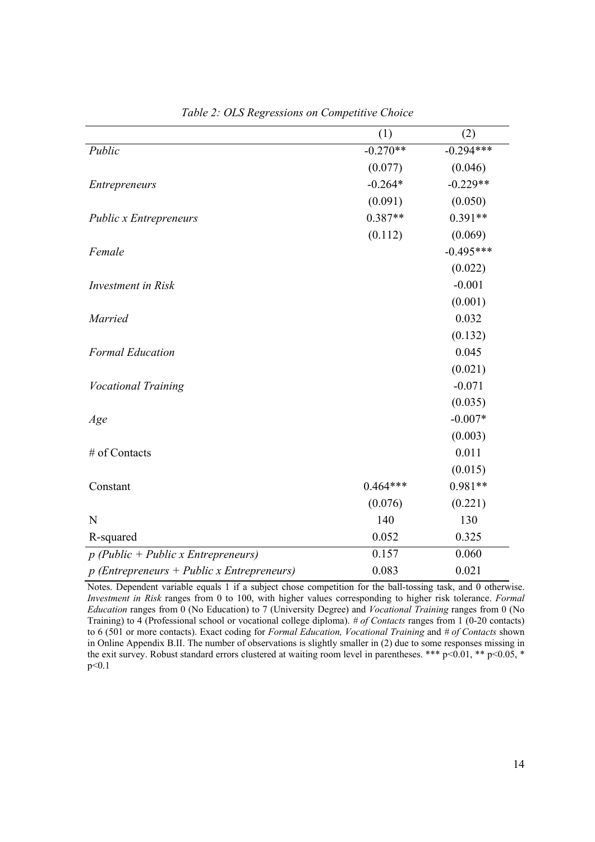|                                              | (1)        | (2)         |
|----------------------------------------------|------------|-------------|
| Public                                       | $-0.270**$ | $-0.294***$ |
|                                              | (0.077)    | (0.046)     |
| <b>Entrepreneurs</b>                         | $-0.264*$  | $-0.229**$  |
|                                              | (0.091)    | (0.050)     |
| <b>Public x Entrepreneurs</b>                | $0.387**$  | $0.391**$   |
|                                              | (0.112)    | (0.069)     |
| Female                                       |            | $-0.495***$ |
|                                              |            | (0.022)     |
| Investment in Risk                           |            | $-0.001$    |
|                                              |            | (0.001)     |
| <b>Married</b>                               |            | 0.032       |
|                                              |            | (0.132)     |
| <b>Formal Education</b>                      |            | 0.045       |
|                                              |            | (0.021)     |
| <b>Vocational Training</b>                   |            | $-0.071$    |
|                                              |            | (0.035)     |
| Age                                          |            | $-0.007*$   |
|                                              |            | (0.003)     |
| # of Contacts                                |            | 0.011       |
|                                              |            | (0.015)     |
| Constant                                     | $0.464***$ | $0.981**$   |
|                                              | (0.076)    | (0.221)     |
| N                                            | 140        | 130         |
| R-squared                                    | 0.052      | 0.325       |
| $p$ (Public + Public x Entrepreneurs)        | 0.157      | 0.060       |
| $p$ (Entrepreneurs + Public x Entrepreneurs) | 0.083      | 0.021       |

*Table 2: OLS Regressions on Competitive Choice* 

Notes. Dependent variable equals 1 if a subject chose competition for the ball-tossing task, and 0 otherwise. *Investment in Risk* ranges from 0 to 100, with higher values corresponding to higher risk tolerance. *Formal Education* ranges from 0 (No Education) to 7 (University Degree) and *Vocational Training* ranges from 0 (No Training) to 4 (Professional school or vocational college diploma). *# of Contacts* ranges from 1 (0-20 contacts) to 6 (501 or more contacts). Exact coding for *Formal Education, Vocational Training* and *# of Contacts* shown in Online Appendix B.II. The number of observations is slightly smaller in (2) due to some responses missing in the exit survey. Robust standard errors clustered at waiting room level in parentheses. \*\*\*  $p<0.01$ , \*\*  $p<0.05$ , \* p<0.1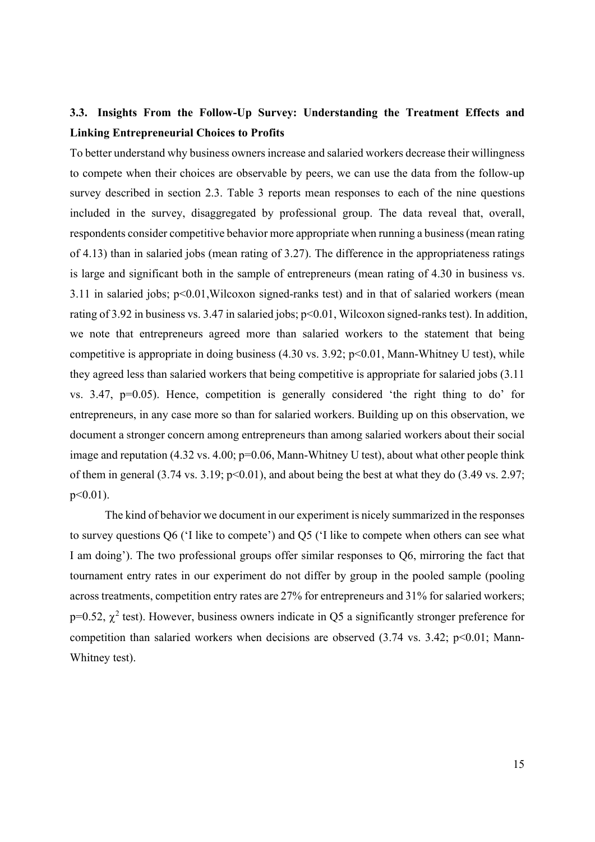# **3.3. Insights From the Follow-Up Survey: Understanding the Treatment Effects and Linking Entrepreneurial Choices to Profits**

To better understand why business owners increase and salaried workers decrease their willingness to compete when their choices are observable by peers, we can use the data from the follow-up survey described in section 2.3. Table 3 reports mean responses to each of the nine questions included in the survey, disaggregated by professional group. The data reveal that, overall, respondents consider competitive behavior more appropriate when running a business (mean rating of 4.13) than in salaried jobs (mean rating of 3.27). The difference in the appropriateness ratings is large and significant both in the sample of entrepreneurs (mean rating of 4.30 in business vs. 3.11 in salaried jobs; p<0.01,Wilcoxon signed-ranks test) and in that of salaried workers (mean rating of 3.92 in business vs. 3.47 in salaried jobs; p<0.01, Wilcoxon signed-ranks test). In addition, we note that entrepreneurs agreed more than salaried workers to the statement that being competitive is appropriate in doing business  $(4.30 \text{ vs. } 3.92; \text{ p} < 0.01, \text{ Mann-Whitney } U \text{ test})$ , while they agreed less than salaried workers that being competitive is appropriate for salaried jobs (3.11 vs. 3.47, p=0.05). Hence, competition is generally considered 'the right thing to do' for entrepreneurs, in any case more so than for salaried workers. Building up on this observation, we document a stronger concern among entrepreneurs than among salaried workers about their social image and reputation  $(4.32 \text{ vs. } 4.00; \text{ p=0.06}, \text{Mann-Whitney U test})$ , about what other people think of them in general  $(3.74 \text{ vs. } 3.19; \text{ p} < 0.01)$ , and about being the best at what they do  $(3.49 \text{ vs. } 2.97;$ p<0.01).

The kind of behavior we document in our experiment is nicely summarized in the responses to survey questions Q6 ('I like to compete') and Q5 ('I like to compete when others can see what I am doing'). The two professional groups offer similar responses to Q6, mirroring the fact that tournament entry rates in our experiment do not differ by group in the pooled sample (pooling across treatments, competition entry rates are 27% for entrepreneurs and 31% for salaried workers;  $p=0.52$ ,  $\chi^2$  test). However, business owners indicate in Q5 a significantly stronger preference for competition than salaried workers when decisions are observed  $(3.74 \text{ vs. } 3.42; \text{ p} < 0.01; \text{ Mann}$ Whitney test).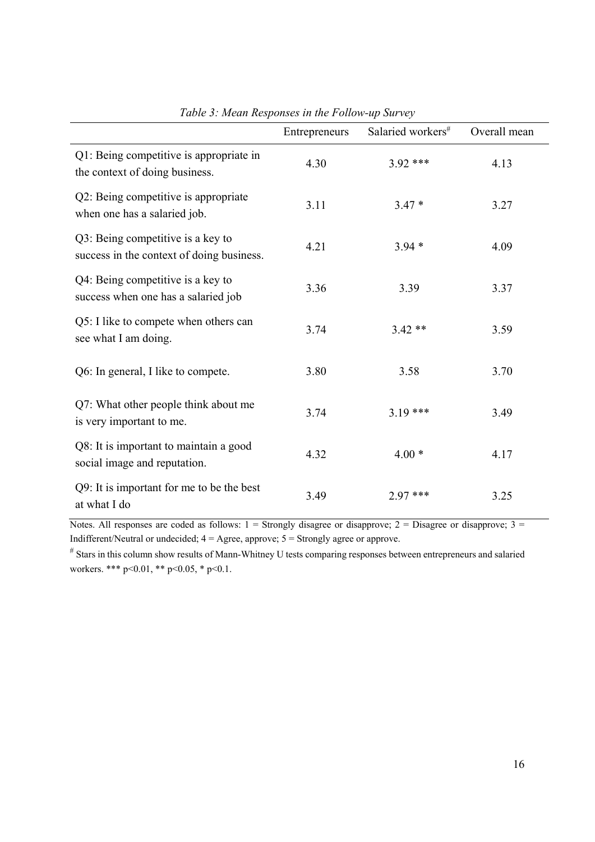|                                                                                | Entrepreneurs | Salaried workers# | Overall mean |
|--------------------------------------------------------------------------------|---------------|-------------------|--------------|
| Q1: Being competitive is appropriate in<br>the context of doing business.      | 4.30          | $3.92$ ***        | 4.13         |
| Q2: Being competitive is appropriate<br>when one has a salaried job.           | 3.11          | $3.47*$           | 3.27         |
| Q3: Being competitive is a key to<br>success in the context of doing business. | 4.21          | $3.94*$           | 4.09         |
| Q4: Being competitive is a key to<br>success when one has a salaried job       | 3.36          | 3.39              | 3.37         |
| Q5: I like to compete when others can<br>see what I am doing.                  | 3.74          | $3.42**$          | 3.59         |
| Q6: In general, I like to compete.                                             | 3.80          | 3.58              | 3.70         |
| Q7: What other people think about me<br>is very important to me.               | 3.74          | $3.19***$         | 3.49         |
| Q8: It is important to maintain a good<br>social image and reputation.         | 4.32          | $4.00*$           | 4.17         |
| Q9: It is important for me to be the best<br>at what I do                      | 3.49          | 2.97 ***          | 3.25         |

*Table 3: Mean Responses in the Follow-up Survey* 

Notes. All responses are coded as follows:  $1 =$  Strongly disagree or disapprove;  $2 =$  Disagree or disapprove;  $3 =$ Indifferent/Neutral or undecided; 4 = Agree, approve; 5 = Strongly agree or approve.

# Stars in this column show results of Mann-Whitney U tests comparing responses between entrepreneurs and salaried workers. \*\*\* p<0.01, \*\* p<0.05, \* p<0.1.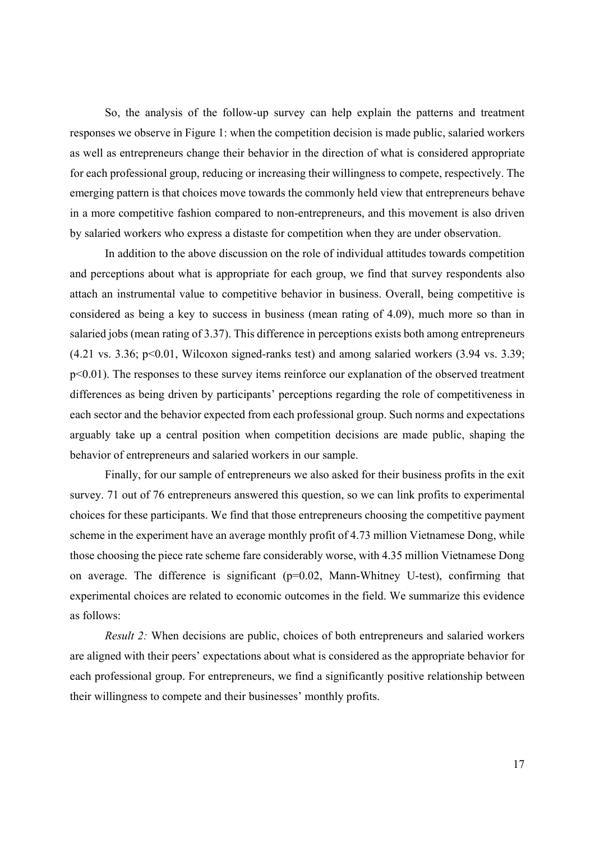So, the analysis of the follow-up survey can help explain the patterns and treatment responses we observe in Figure 1: when the competition decision is made public, salaried workers as well as entrepreneurs change their behavior in the direction of what is considered appropriate for each professional group, reducing or increasing their willingness to compete, respectively. The emerging pattern is that choices move towards the commonly held view that entrepreneurs behave in a more competitive fashion compared to non-entrepreneurs, and this movement is also driven by salaried workers who express a distaste for competition when they are under observation.

In addition to the above discussion on the role of individual attitudes towards competition and perceptions about what is appropriate for each group, we find that survey respondents also attach an instrumental value to competitive behavior in business. Overall, being competitive is considered as being a key to success in business (mean rating of 4.09), much more so than in salaried jobs (mean rating of 3.37). This difference in perceptions exists both among entrepreneurs  $(4.21 \text{ vs. } 3.36; \text{ p} < 0.01, \text{ Wilcoxon signed-ranks test})$  and among salaried workers  $(3.94 \text{ vs. } 3.39; \text{ m}$ p<0.01). The responses to these survey items reinforce our explanation of the observed treatment differences as being driven by participants' perceptions regarding the role of competitiveness in each sector and the behavior expected from each professional group. Such norms and expectations arguably take up a central position when competition decisions are made public, shaping the behavior of entrepreneurs and salaried workers in our sample.

Finally, for our sample of entrepreneurs we also asked for their business profits in the exit survey. 71 out of 76 entrepreneurs answered this question, so we can link profits to experimental choices for these participants. We find that those entrepreneurs choosing the competitive payment scheme in the experiment have an average monthly profit of 4.73 million Vietnamese Dong, while those choosing the piece rate scheme fare considerably worse, with 4.35 million Vietnamese Dong on average. The difference is significant  $(p=0.02,$  Mann-Whitney U-test), confirming that experimental choices are related to economic outcomes in the field. We summarize this evidence as follows:

*Result 2:* When decisions are public, choices of both entrepreneurs and salaried workers are aligned with their peers' expectations about what is considered as the appropriate behavior for each professional group. For entrepreneurs, we find a significantly positive relationship between their willingness to compete and their businesses' monthly profits.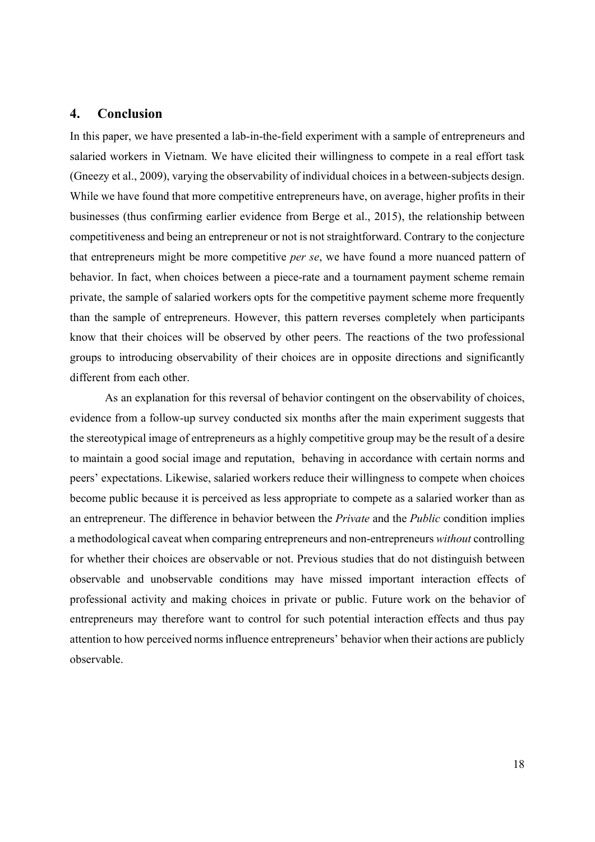# **4. Conclusion**

In this paper, we have presented a lab-in-the-field experiment with a sample of entrepreneurs and salaried workers in Vietnam. We have elicited their willingness to compete in a real effort task (Gneezy et al., 2009), varying the observability of individual choices in a between-subjects design. While we have found that more competitive entrepreneurs have, on average, higher profits in their businesses (thus confirming earlier evidence from Berge et al., 2015), the relationship between competitiveness and being an entrepreneur or not is not straightforward. Contrary to the conjecture that entrepreneurs might be more competitive *per se*, we have found a more nuanced pattern of behavior. In fact, when choices between a piece-rate and a tournament payment scheme remain private, the sample of salaried workers opts for the competitive payment scheme more frequently than the sample of entrepreneurs. However, this pattern reverses completely when participants know that their choices will be observed by other peers. The reactions of the two professional groups to introducing observability of their choices are in opposite directions and significantly different from each other.

As an explanation for this reversal of behavior contingent on the observability of choices, evidence from a follow-up survey conducted six months after the main experiment suggests that the stereotypical image of entrepreneurs as a highly competitive group may be the result of a desire to maintain a good social image and reputation, behaving in accordance with certain norms and peers' expectations. Likewise, salaried workers reduce their willingness to compete when choices become public because it is perceived as less appropriate to compete as a salaried worker than as an entrepreneur. The difference in behavior between the *Private* and the *Public* condition implies a methodological caveat when comparing entrepreneurs and non-entrepreneurs *without* controlling for whether their choices are observable or not. Previous studies that do not distinguish between observable and unobservable conditions may have missed important interaction effects of professional activity and making choices in private or public. Future work on the behavior of entrepreneurs may therefore want to control for such potential interaction effects and thus pay attention to how perceived norms influence entrepreneurs' behavior when their actions are publicly observable.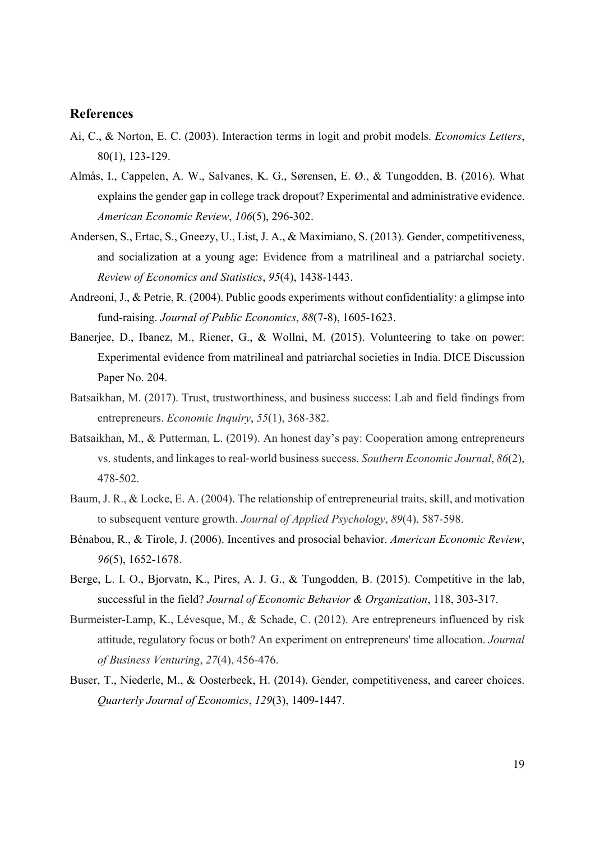# **References**

- Ai, C., & Norton, E. C. (2003). Interaction terms in logit and probit models. *Economics Letters*, 80(1), 123-129.
- Almås, I., Cappelen, A. W., Salvanes, K. G., Sørensen, E. Ø., & Tungodden, B. (2016). What explains the gender gap in college track dropout? Experimental and administrative evidence. *American Economic Review*, *106*(5), 296-302.
- Andersen, S., Ertac, S., Gneezy, U., List, J. A., & Maximiano, S. (2013). Gender, competitiveness, and socialization at a young age: Evidence from a matrilineal and a patriarchal society. *Review of Economics and Statistics*, *95*(4), 1438-1443.
- Andreoni, J., & Petrie, R. (2004). Public goods experiments without confidentiality: a glimpse into fund-raising. *Journal of Public Economics*, *88*(7-8), 1605-1623.
- Banerjee, D., Ibanez, M., Riener, G., & Wollni, M. (2015). Volunteering to take on power: Experimental evidence from matrilineal and patriarchal societies in India. DICE Discussion Paper No. 204.
- Batsaikhan, M. (2017). Trust, trustworthiness, and business success: Lab and field findings from entrepreneurs. *Economic Inquiry*, *55*(1), 368-382.
- Batsaikhan, M., & Putterman, L. (2019). An honest day's pay: Cooperation among entrepreneurs vs. students, and linkages to real-world business success. *Southern Economic Journal*, *86*(2), 478-502.
- Baum, J. R., & Locke, E. A. (2004). The relationship of entrepreneurial traits, skill, and motivation to subsequent venture growth. *Journal of Applied Psychology*, *89*(4), 587-598.
- Bénabou, R., & Tirole, J. (2006). Incentives and prosocial behavior. *American Economic Review*, *96*(5), 1652-1678.
- Berge, L. I. O., Bjorvatn, K., Pires, A. J. G., & Tungodden, B. (2015). Competitive in the lab, successful in the field? *Journal of Economic Behavior & Organization*, 118, 303-317.
- Burmeister-Lamp, K., Lévesque, M., & Schade, C. (2012). Are entrepreneurs influenced by risk attitude, regulatory focus or both? An experiment on entrepreneurs' time allocation. *Journal of Business Venturing*, *27*(4), 456-476.
- Buser, T., Niederle, M., & Oosterbeek, H. (2014). Gender, competitiveness, and career choices. *Quarterly Journal of Economics*, *129*(3), 1409-1447.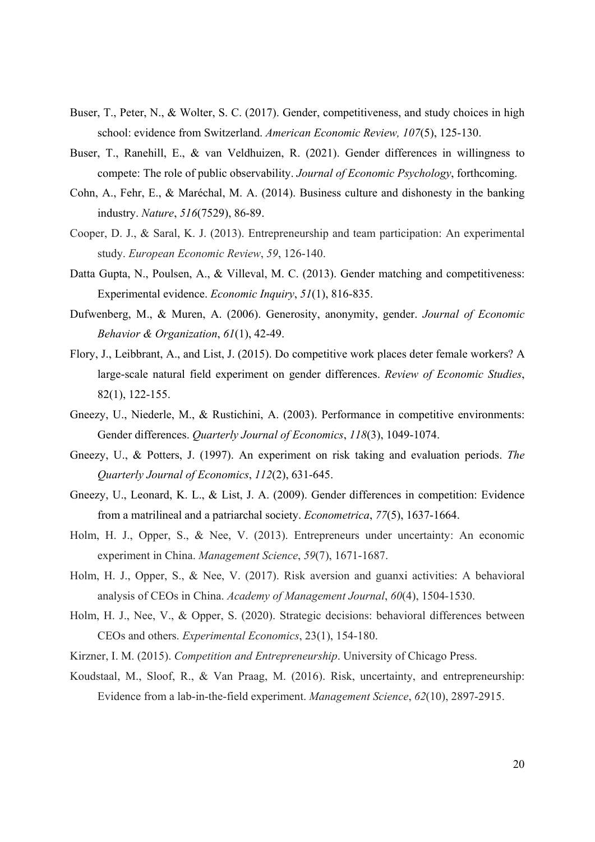- Buser, T., Peter, N., & Wolter, S. C. (2017). Gender, competitiveness, and study choices in high school: evidence from Switzerland. *American Economic Review, 107*(5), 125-130.
- Buser, T., Ranehill, E., & van Veldhuizen, R. (2021). Gender differences in willingness to compete: The role of public observability. *Journal of Economic Psychology*, forthcoming.
- Cohn, A., Fehr, E., & Maréchal, M. A. (2014). Business culture and dishonesty in the banking industry. *Nature*, *516*(7529), 86-89.
- Cooper, D. J., & Saral, K. J. (2013). Entrepreneurship and team participation: An experimental study. *European Economic Review*, *59*, 126-140.
- Datta Gupta, N., Poulsen, A., & Villeval, M. C. (2013). Gender matching and competitiveness: Experimental evidence. *Economic Inquiry*, *51*(1), 816-835.
- Dufwenberg, M., & Muren, A. (2006). Generosity, anonymity, gender. *Journal of Economic Behavior & Organization*, *61*(1), 42-49.
- Flory, J., Leibbrant, A., and List, J. (2015). Do competitive work places deter female workers? A large-scale natural field experiment on gender differences. *Review of Economic Studies*, 82(1), 122-155.
- Gneezy, U., Niederle, M., & Rustichini, A. (2003). Performance in competitive environments: Gender differences. *Quarterly Journal of Economics*, *118*(3), 1049-1074.
- Gneezy, U., & Potters, J. (1997). An experiment on risk taking and evaluation periods. *The Quarterly Journal of Economics*, *112*(2), 631-645.
- Gneezy, U., Leonard, K. L., & List, J. A. (2009). Gender differences in competition: Evidence from a matrilineal and a patriarchal society. *Econometrica*, *77*(5), 1637-1664.
- Holm, H. J., Opper, S., & Nee, V. (2013). Entrepreneurs under uncertainty: An economic experiment in China. *Management Science*, *59*(7), 1671-1687.
- Holm, H. J., Opper, S., & Nee, V. (2017). Risk aversion and guanxi activities: A behavioral analysis of CEOs in China. *Academy of Management Journal*, *60*(4), 1504-1530.
- Holm, H. J., Nee, V., & Opper, S. (2020). Strategic decisions: behavioral differences between CEOs and others. *Experimental Economics*, 23(1), 154-180.
- Kirzner, I. M. (2015). *Competition and Entrepreneurship*. University of Chicago Press.
- Koudstaal, M., Sloof, R., & Van Praag, M. (2016). Risk, uncertainty, and entrepreneurship: Evidence from a lab-in-the-field experiment. *Management Science*, *62*(10), 2897-2915.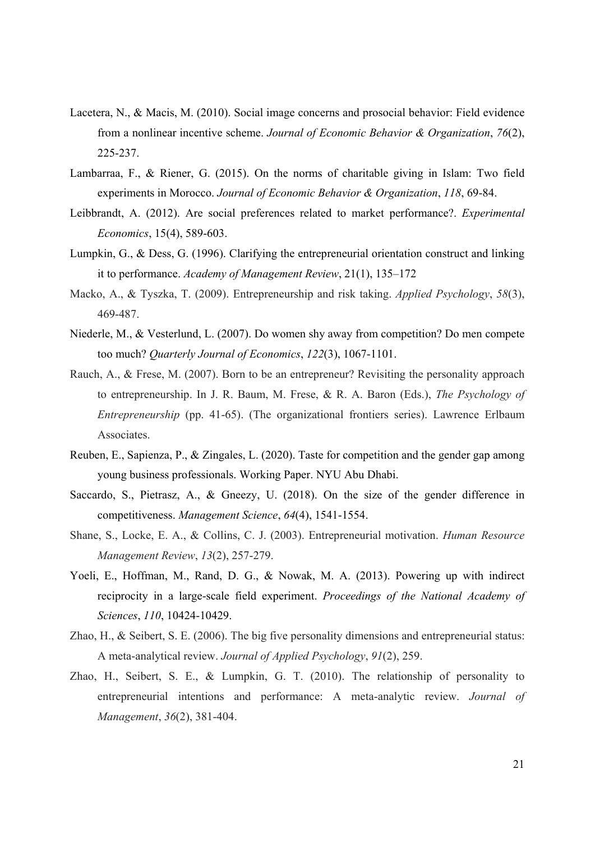- Lacetera, N., & Macis, M. (2010). Social image concerns and prosocial behavior: Field evidence from a nonlinear incentive scheme. *Journal of Economic Behavior & Organization*, *76*(2), 225-237.
- Lambarraa, F., & Riener, G. (2015). On the norms of charitable giving in Islam: Two field experiments in Morocco. *Journal of Economic Behavior & Organization*, *118*, 69-84.
- Leibbrandt, A. (2012). Are social preferences related to market performance?. *Experimental Economics*, 15(4), 589-603.
- Lumpkin, G., & Dess, G. (1996). Clarifying the entrepreneurial orientation construct and linking it to performance. *Academy of Management Review*, 21(1), 135–172
- Macko, A., & Tyszka, T. (2009). Entrepreneurship and risk taking. *Applied Psychology*, *58*(3), 469-487.
- Niederle, M., & Vesterlund, L. (2007). Do women shy away from competition? Do men compete too much? *Quarterly Journal of Economics*, *122*(3), 1067-1101.
- Rauch, A., & Frese, M. (2007). Born to be an entrepreneur? Revisiting the personality approach to entrepreneurship. In J. R. Baum, M. Frese, & R. A. Baron (Eds.), *The Psychology of Entrepreneurship* (pp. 41-65). (The organizational frontiers series). Lawrence Erlbaum Associates.
- Reuben, E., Sapienza, P., & Zingales, L. (2020). Taste for competition and the gender gap among young business professionals. Working Paper. NYU Abu Dhabi.
- Saccardo, S., Pietrasz, A., & Gneezy, U. (2018). On the size of the gender difference in competitiveness. *Management Science*, *64*(4), 1541-1554.
- Shane, S., Locke, E. A., & Collins, C. J. (2003). Entrepreneurial motivation. *Human Resource Management Review*, *13*(2), 257-279.
- Yoeli, E., Hoffman, M., Rand, D. G., & Nowak, M. A. (2013). Powering up with indirect reciprocity in a large-scale field experiment. *Proceedings of the National Academy of Sciences*, *110*, 10424-10429.
- Zhao, H., & Seibert, S. E. (2006). The big five personality dimensions and entrepreneurial status: A meta-analytical review. *Journal of Applied Psychology*, *91*(2), 259.
- Zhao, H., Seibert, S. E., & Lumpkin, G. T. (2010). The relationship of personality to entrepreneurial intentions and performance: A meta-analytic review. *Journal of Management*, *36*(2), 381-404.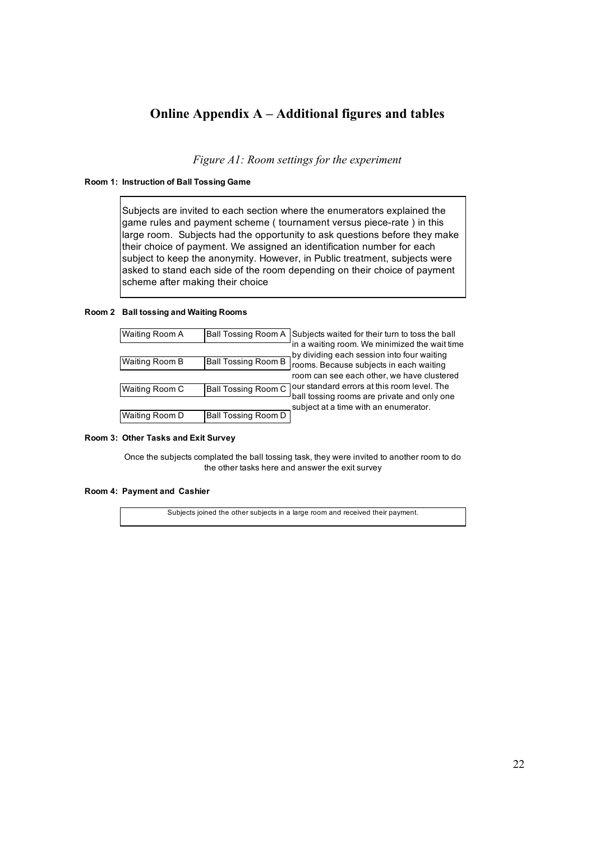# **Online Appendix A – Additional figures and tables**

*Figure A1: Room settings for the experiment* 

#### **Room 1: Instruction of Ball Tossing Game**

Subjects are invited to each section where the enumerators explained the game rules and payment scheme ( tournament versus piece-rate ) in this large room. Subjects had the opportunity to ask questions before they make their choice of payment. We assigned an identification number for each subject to keep the anonymity. However, in Public treatment, subjects were asked to stand each side of the room depending on their choice of payment scheme after making their choice

#### **Room 2 Ball tossing and Waiting Rooms**

| Waiting Room A |                            | Ball Tossing Room A Subjects waited for their turn to toss the ball                         |
|----------------|----------------------------|---------------------------------------------------------------------------------------------|
|                |                            | in a waiting room. We minimized the wait time<br>by dividing each session into four waiting |
| Waiting Room B | <b>Ball Tossing Room B</b> | rooms. Because subjects in each waiting                                                     |
|                |                            | room can see each other, we have clustered                                                  |
| Waiting Room C | <b>Ball Tossing Room C</b> | Jour standard errors at this room level. The                                                |
|                |                            | ball tossing rooms are private and only one<br>subject at a time with an enumerator.        |
| Waiting Room D | Ball Tossing Room D        |                                                                                             |
|                |                            |                                                                                             |

#### **Room 3: Other Tasks and Exit Survey**

Once the subjects complated the ball tossing task, they were invited to another room to do the other tasks here and answer the exit survey

#### **Room 4: Payment and Cashier**

Subjects joined the other subjects in a large room and received their payment.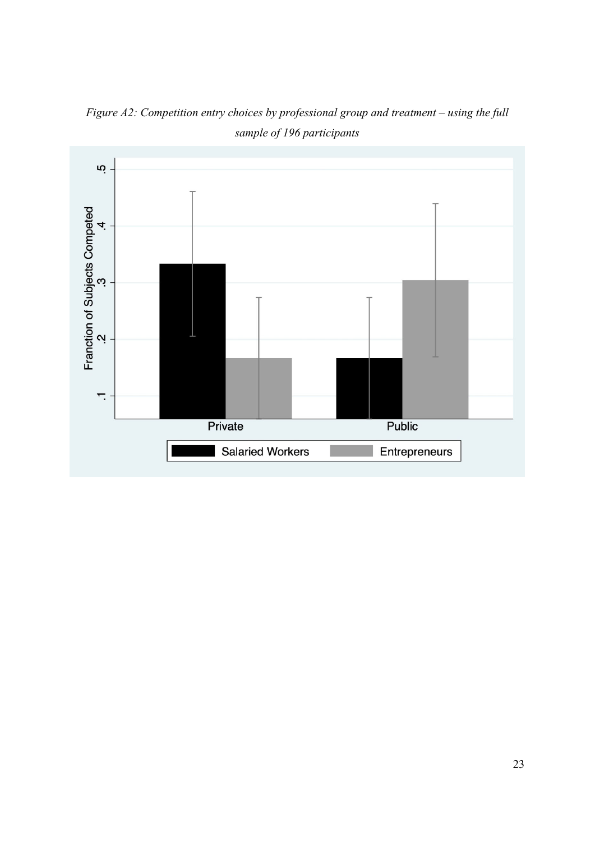

*Figure A2: Competition entry choices by professional group and treatment – using the full sample of 196 participants*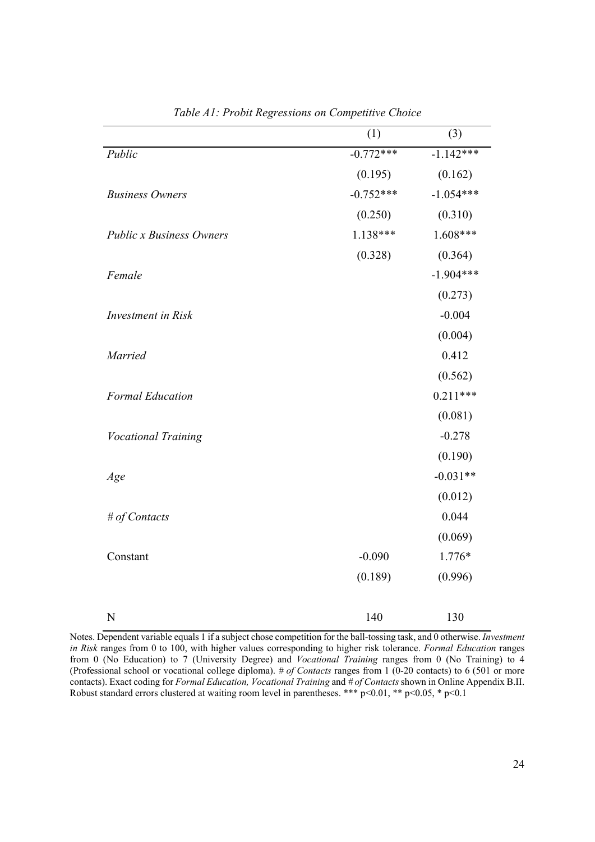|                                 | (1)         | (3)         |
|---------------------------------|-------------|-------------|
| Public                          | $-0.772***$ | $-1.142***$ |
|                                 | (0.195)     | (0.162)     |
| <b>Business Owners</b>          | $-0.752***$ | $-1.054***$ |
|                                 | (0.250)     | (0.310)     |
| <b>Public x Business Owners</b> | $1.138***$  | $1.608***$  |
|                                 | (0.328)     | (0.364)     |
| Female                          |             | $-1.904***$ |
|                                 |             | (0.273)     |
| <b>Investment</b> in Risk       |             | $-0.004$    |
|                                 |             | (0.004)     |
| <b>Married</b>                  |             | 0.412       |
|                                 |             | (0.562)     |
| <b>Formal Education</b>         |             | $0.211***$  |
|                                 |             | (0.081)     |
| Vocational Training             |             | $-0.278$    |
|                                 |             | (0.190)     |
| Age                             |             | $-0.031**$  |
|                                 |             | (0.012)     |
| # of Contacts                   |             | 0.044       |
|                                 |             | (0.069)     |
| Constant                        | $-0.090$    | 1.776*      |
|                                 | (0.189)     | (0.996)     |
| $\mathbf N$                     | 140         | 130         |

*Table A1: Probit Regressions on Competitive Choice* 

Notes. Dependent variable equals 1 if a subject chose competition for the ball-tossing task, and 0 otherwise. *Investment in Risk* ranges from 0 to 100, with higher values corresponding to higher risk tolerance. *Formal Education* ranges from 0 (No Education) to 7 (University Degree) and *Vocational Training* ranges from 0 (No Training) to 4 (Professional school or vocational college diploma). *# of Contacts* ranges from 1 (0-20 contacts) to 6 (501 or more contacts). Exact coding for *Formal Education, Vocational Training* and *# of Contacts* shown in Online Appendix B.II. Robust standard errors clustered at waiting room level in parentheses. \*\*\*  $p<0.01$ , \*\*  $p<0.05$ , \*  $p<0.1$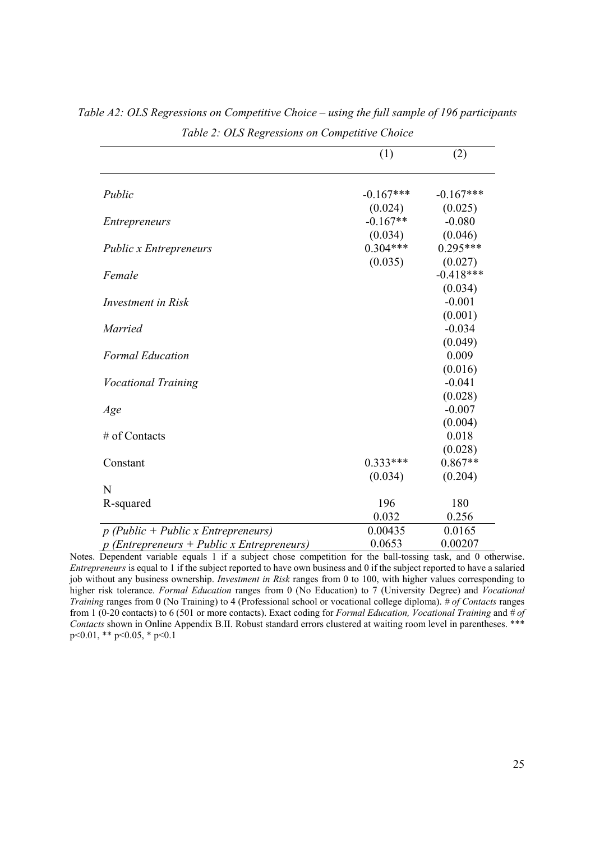|                                              | (1)         | (2)         |
|----------------------------------------------|-------------|-------------|
| Public                                       | $-0.167***$ | $-0.167***$ |
|                                              | (0.024)     | (0.025)     |
| <i>Entrepreneurs</i>                         | $-0.167**$  | $-0.080$    |
|                                              | (0.034)     | (0.046)     |
| <b>Public x Entrepreneurs</b>                | $0.304***$  | $0.295***$  |
|                                              | (0.035)     | (0.027)     |
| Female                                       |             | $-0.418***$ |
|                                              |             | (0.034)     |
| Investment in Risk                           |             | $-0.001$    |
|                                              |             | (0.001)     |
| Married                                      |             | $-0.034$    |
|                                              |             | (0.049)     |
| <b>Formal Education</b>                      |             | 0.009       |
|                                              |             | (0.016)     |
| <b>Vocational Training</b>                   |             | $-0.041$    |
|                                              |             | (0.028)     |
| Age                                          |             | $-0.007$    |
|                                              |             | (0.004)     |
| # of Contacts                                |             | 0.018       |
|                                              |             | (0.028)     |
| Constant                                     | $0.333***$  | $0.867**$   |
|                                              | (0.034)     | (0.204)     |
| N                                            |             |             |
| R-squared                                    | 196         | 180         |
|                                              | 0.032       | 0.256       |
| $p$ (Public + Public x Entrepreneurs)        | 0.00435     | 0.0165      |
| $p$ (Entrepreneurs + Public x Entrepreneurs) | 0.0653      | 0.00207     |

*Table A2: OLS Regressions on Competitive Choice – using the full sample of 196 participants Table 2: OLS Regressions on Competitive Choice* 

Notes. Dependent variable equals 1 if a subject chose competition for the ball-tossing task, and 0 otherwise. *Entrepreneurs* is equal to 1 if the subject reported to have own business and 0 if the subject reported to have a salaried job without any business ownership. *Investment in Risk* ranges from 0 to 100, with higher values corresponding to higher risk tolerance. *Formal Education* ranges from 0 (No Education) to 7 (University Degree) and *Vocational Training* ranges from 0 (No Training) to 4 (Professional school or vocational college diploma). *# of Contacts* ranges from 1 (0-20 contacts) to 6 (501 or more contacts). Exact coding for *Formal Education, Vocational Training* and *# of Contacts* shown in Online Appendix B.II. Robust standard errors clustered at waiting room level in parentheses. \*\*\* p<0.01, \*\* p<0.05, \* p<0.1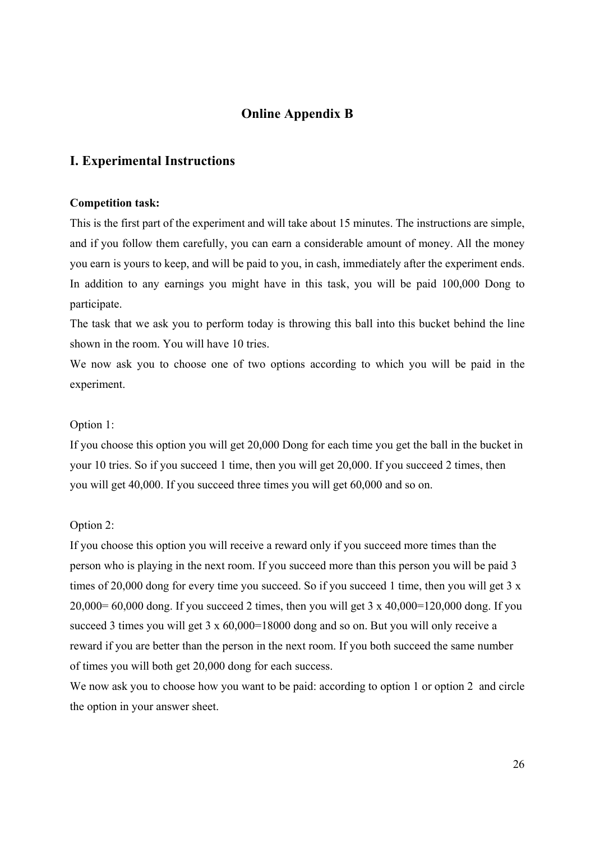# **Online Appendix B**

# **I. Experimental Instructions**

### **Competition task:**

This is the first part of the experiment and will take about 15 minutes. The instructions are simple, and if you follow them carefully, you can earn a considerable amount of money. All the money you earn is yours to keep, and will be paid to you, in cash, immediately after the experiment ends. In addition to any earnings you might have in this task, you will be paid 100,000 Dong to participate.

The task that we ask you to perform today is throwing this ball into this bucket behind the line shown in the room. You will have 10 tries.

We now ask you to choose one of two options according to which you will be paid in the experiment.

### Option 1:

If you choose this option you will get 20,000 Dong for each time you get the ball in the bucket in your 10 tries. So if you succeed 1 time, then you will get 20,000. If you succeed 2 times, then you will get 40,000. If you succeed three times you will get 60,000 and so on.

### Option 2:

If you choose this option you will receive a reward only if you succeed more times than the person who is playing in the next room. If you succeed more than this person you will be paid 3 times of 20,000 dong for every time you succeed. So if you succeed 1 time, then you will get 3 x  $20,000= 60,000$  dong. If you succeed 2 times, then you will get 3 x 40,000=120,000 dong. If you succeed 3 times you will get 3 x 60,000=18000 dong and so on. But you will only receive a reward if you are better than the person in the next room. If you both succeed the same number of times you will both get 20,000 dong for each success.

We now ask you to choose how you want to be paid: according to option 1 or option 2 and circle the option in your answer sheet.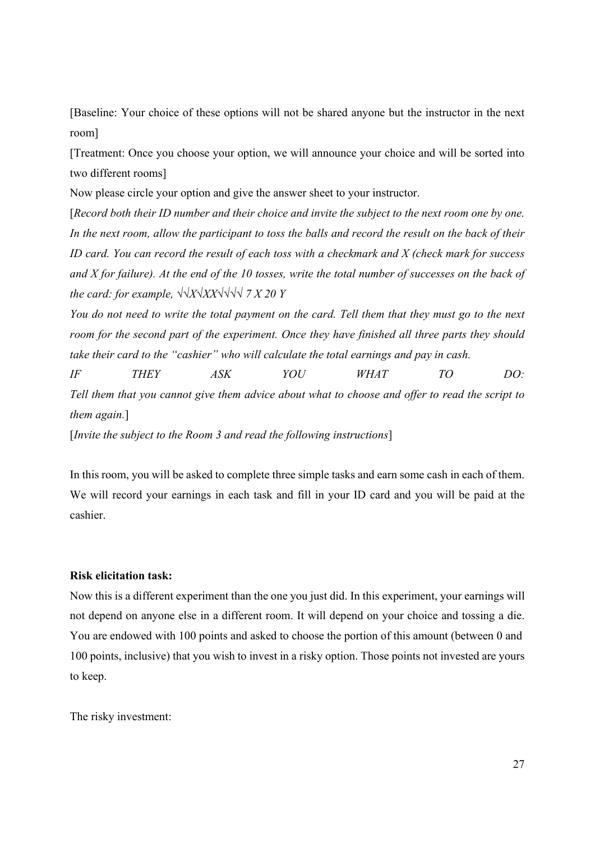[Baseline: Your choice of these options will not be shared anyone but the instructor in the next room]

[Treatment: Once you choose your option, we will announce your choice and will be sorted into two different rooms]

Now please circle your option and give the answer sheet to your instructor.

[*Record both their ID number and their choice and invite the subject to the next room one by one. In the next room, allow the participant to toss the balls and record the result on the back of their ID card. You can record the result of each toss with a checkmark and X (check mark for success and X for failure). At the end of the 10 tosses, write the total number of successes on the back of the card: for example,*  $\sqrt{\frac{X}{X}}$ *X* $\sqrt{\sqrt{1}$  *7 X 20 Y* 

*You do not need to write the total payment on the card. Tell them that they must go to the next room for the second part of the experiment. Once they have finished all three parts they should take their card to the "cashier" who will calculate the total earnings and pay in cash.* 

*IF THEY ASK YOU WHAT TO DO: Tell them that you cannot give them advice about what to choose and offer to read the script to them again.*]

[*Invite the subject to the Room 3 and read the following instructions*]

In this room, you will be asked to complete three simple tasks and earn some cash in each of them. We will record your earnings in each task and fill in your ID card and you will be paid at the cashier.

### **Risk elicitation task:**

Now this is a different experiment than the one you just did. In this experiment, your earnings will not depend on anyone else in a different room. It will depend on your choice and tossing a die. You are endowed with 100 points and asked to choose the portion of this amount (between 0 and 100 points, inclusive) that you wish to invest in a risky option. Those points not invested are yours to keep.

The risky investment: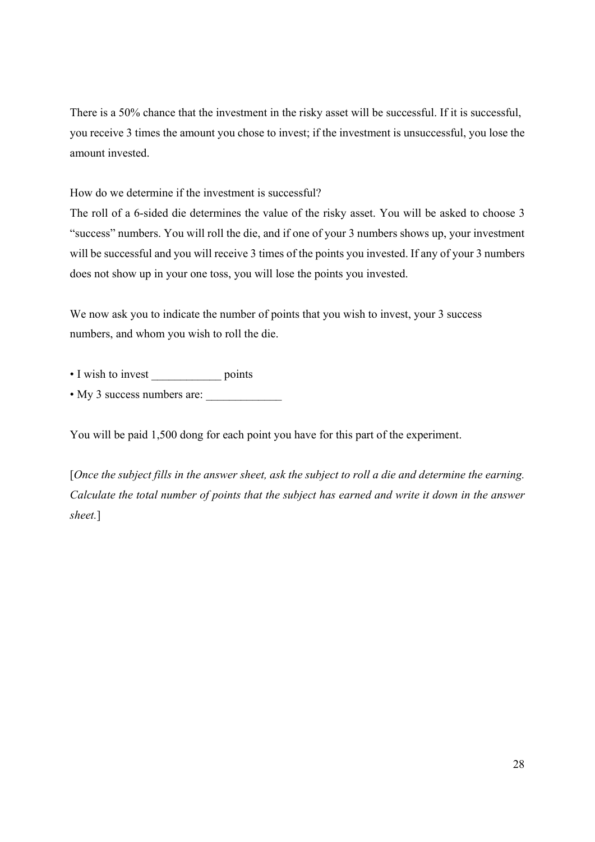There is a 50% chance that the investment in the risky asset will be successful. If it is successful, you receive 3 times the amount you chose to invest; if the investment is unsuccessful, you lose the amount invested.

How do we determine if the investment is successful?

The roll of a 6-sided die determines the value of the risky asset. You will be asked to choose 3 "success" numbers. You will roll the die, and if one of your 3 numbers shows up, your investment will be successful and you will receive 3 times of the points you invested. If any of your 3 numbers does not show up in your one toss, you will lose the points you invested.

We now ask you to indicate the number of points that you wish to invest, your 3 success numbers, and whom you wish to roll the die.

- I wish to invest points
- My 3 success numbers are:

You will be paid 1,500 dong for each point you have for this part of the experiment.

[*Once the subject fills in the answer sheet, ask the subject to roll a die and determine the earning. Calculate the total number of points that the subject has earned and write it down in the answer sheet.*]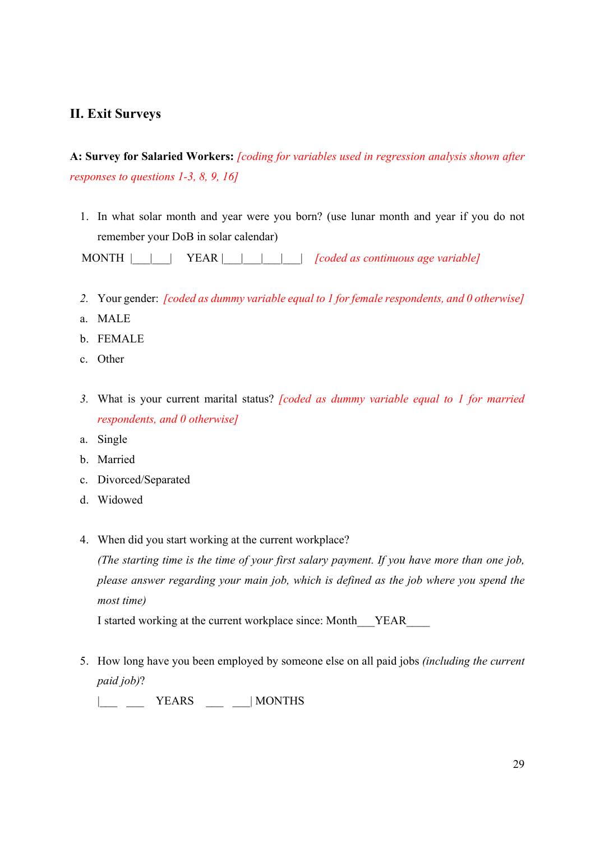# **II. Exit Surveys**

# **A: Survey for Salaried Workers:** *[coding for variables used in regression analysis shown after responses to questions 1-3, 8, 9, 16]*

1. In what solar month and year were you born? (use lunar month and year if you do not remember your DoB in solar calendar)

MONTH |\_\_\_\_\_\_ YEAR |\_\_\_\_\_\_\_\_\_\_\_\_| *[coded as continuous age variable]*

- *2.* Your gender: *[coded as dummy variable equal to 1 for female respondents, and 0 otherwise]*
- a. MALE
- b. FEMALE
- c. Other
- *3.* What is your current marital status? *[coded as dummy variable equal to 1 for married respondents, and 0 otherwise]*
- a. Single
- b. Married
- c. Divorced/Separated
- d. Widowed
- 4. When did you start working at the current workplace?

*(The starting time is the time of your first salary payment. If you have more than one job, please answer regarding your main job, which is defined as the job where you spend the most time)* 

I started working at the current workplace since: Month\_\_\_YEAR\_\_\_\_

- 5. How long have you been employed by someone else on all paid jobs *(including the current paid job)*?
	- |\_\_\_\_\_\_ YEARS \_\_\_\_\_\_| MONTHS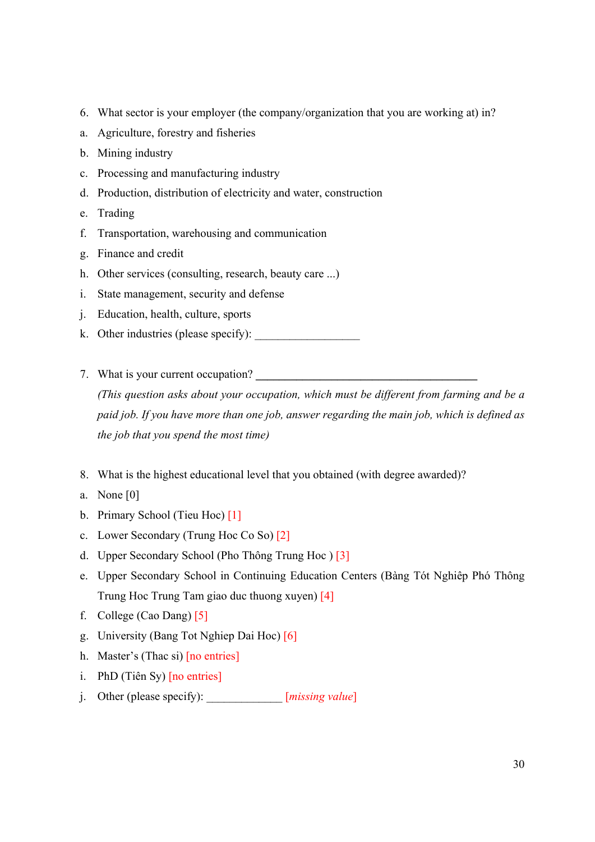- 6. What sector is your employer (the company/organization that you are working at) in?
- a. Agriculture, forestry and fisheries
- b. Mining industry
- c. Processing and manufacturing industry
- d. Production, distribution of electricity and water, construction
- e. Trading
- f. Transportation, warehousing and communication
- g. Finance and credit
- h. Other services (consulting, research, beauty care ...)
- i. State management, security and defense
- j. Education, health, culture, sports
- k. Other industries (please specify):
- 7. What is your current occupation?

*(This question asks about your occupation, which must be different from farming and be a paid job. If you have more than one job, answer regarding the main job, which is defined as the job that you spend the most time)* 

- 8. What is the highest educational level that you obtained (with degree awarded)?
- a. None [0]
- b. Primary School (Tieu Hoc) [1]
- c. Lower Secondary (Trung Hoc Co So) [2]
- d. Upper Secondary School (Pho Thông Trung Hoc ) [3]
- e. Upper Secondary School in Continuing Education Centers (Bàng Tót Nghiêp Phó Thông Trung Hoc Trung Tam giao duc thuong xuyen) [4]
- f. College (Cao Dang) [5]
- g. University (Bang Tot Nghiep Dai Hoc) [6]
- h. Master's (Thac si) [no entries]
- i. PhD (Tiên Sy) [no entries]
- j. Other (please specify): \_\_\_\_\_\_\_\_\_\_\_\_\_ [*missing value*]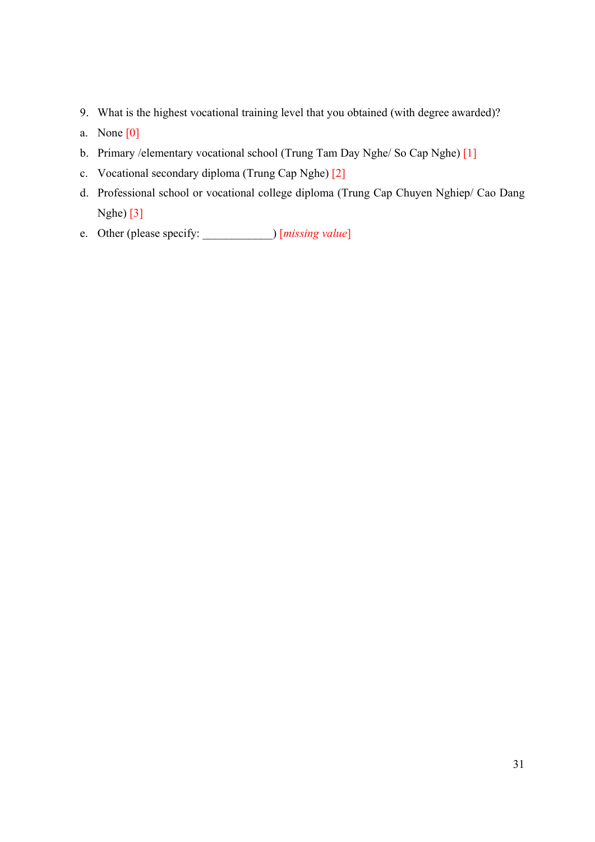- 9. What is the highest vocational training level that you obtained (with degree awarded)?
- a. None  $[0]$
- b. Primary /elementary vocational school (Trung Tam Day Nghe/ So Cap Nghe) [1]
- c. Vocational secondary diploma (Trung Cap Nghe) [2]
- d. Professional school or vocational college diploma (Trung Cap Chuyen Nghiep/ Cao Dang Nghe) [3]
- e. Other (please specify: \_\_\_\_\_\_\_\_\_\_\_\_) [*missing value*]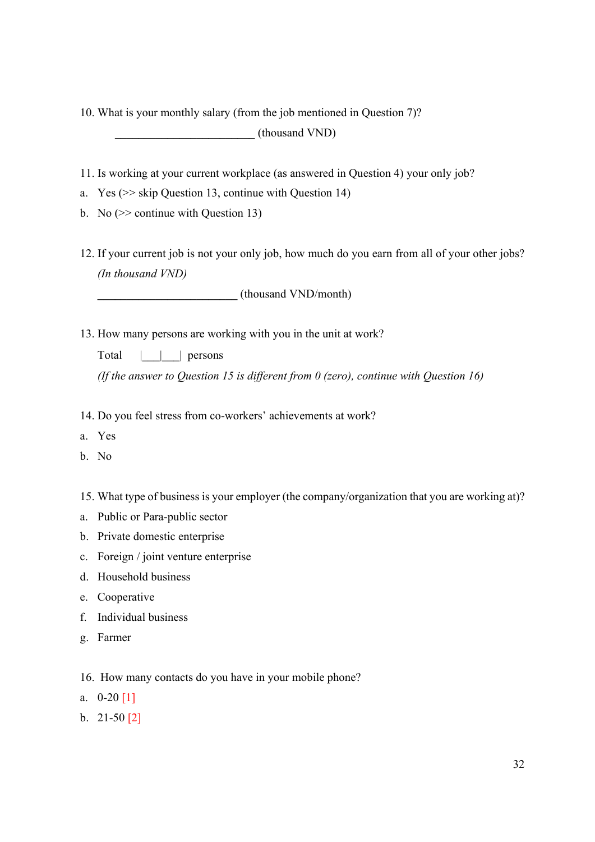10. What is your monthly salary (from the job mentioned in Question 7)? **\_\_\_\_\_\_\_\_\_\_\_\_\_\_\_\_\_\_\_\_\_\_\_\_** (thousand VND)

- 11. Is working at your current workplace (as answered in Question 4) your only job?
- a. Yes (>> skip Question 13, continue with Question 14)
- b. No  $\gg$  continue with Question 13)
- 12. If your current job is not your only job, how much do you earn from all of your other jobs? *(In thousand VND)*

**\_\_\_\_\_\_\_\_\_\_\_\_\_\_\_\_\_\_\_\_\_\_\_\_** (thousand VND/month)

- 13. How many persons are working with you in the unit at work?
	- Total | | | persons

*(If the answer to Question 15 is different from 0 (zero), continue with Question 16)* 

- 14. Do you feel stress from co-workers' achievements at work?
- a. Yes
- b. No
- 15. What type of business is your employer (the company/organization that you are working at)?
- a. Public or Para-public sector
- b. Private domestic enterprise
- c. Foreign / joint venture enterprise
- d. Household business
- e. Cooperative
- f. Individual business
- g. Farmer
- 16. How many contacts do you have in your mobile phone?
- a.  $0-20$  [1]
- b. 21-50 [2]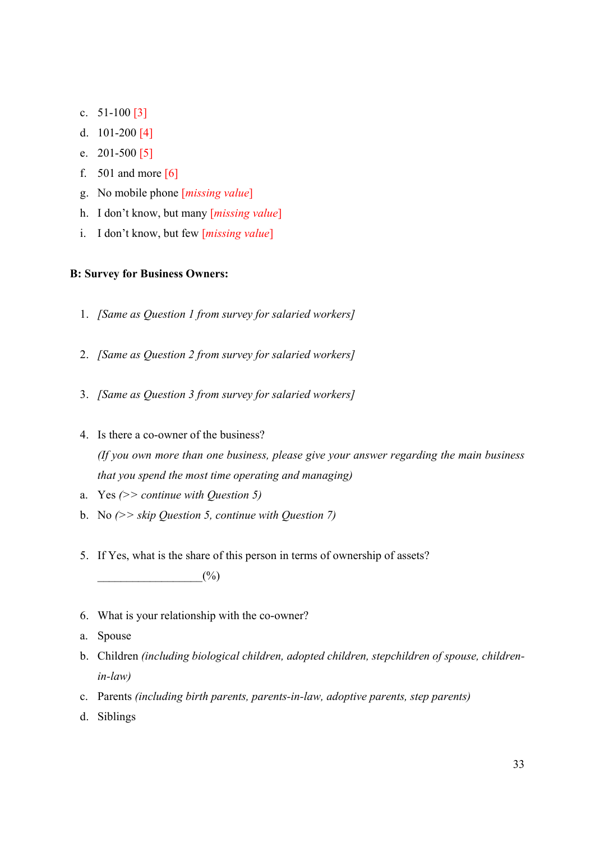- c.  $51-100$  [3]
- d. 101-200 [4]
- e. 201-500 [5]
- f.  $501$  and more  $\lceil 6 \rceil$
- g. No mobile phone [*missing value*]
- h. I don't know, but many [*missing value*]
- i. I don't know, but few [*missing value*]

### **B: Survey for Business Owners:**

- 1. *[Same as Question 1 from survey for salaried workers]*
- 2. *[Same as Question 2 from survey for salaried workers]*
- 3. *[Same as Question 3 from survey for salaried workers]*
- 4. Is there a co-owner of the business? *(If you own more than one business, please give your answer regarding the main business that you spend the most time operating and managing)*
- a. Yes *(>> continue with Question 5)*
- b. No *(>> skip Question 5, continue with Question 7)*
- 5. If Yes, what is the share of this person in terms of ownership of assets?  $(%)$
- 6. What is your relationship with the co-owner?
- a. Spouse
- b. Children *(including biological children, adopted children, stepchildren of spouse, childrenin-law)*
- c. Parents *(including birth parents, parents-in-law, adoptive parents, step parents)*
- d. Siblings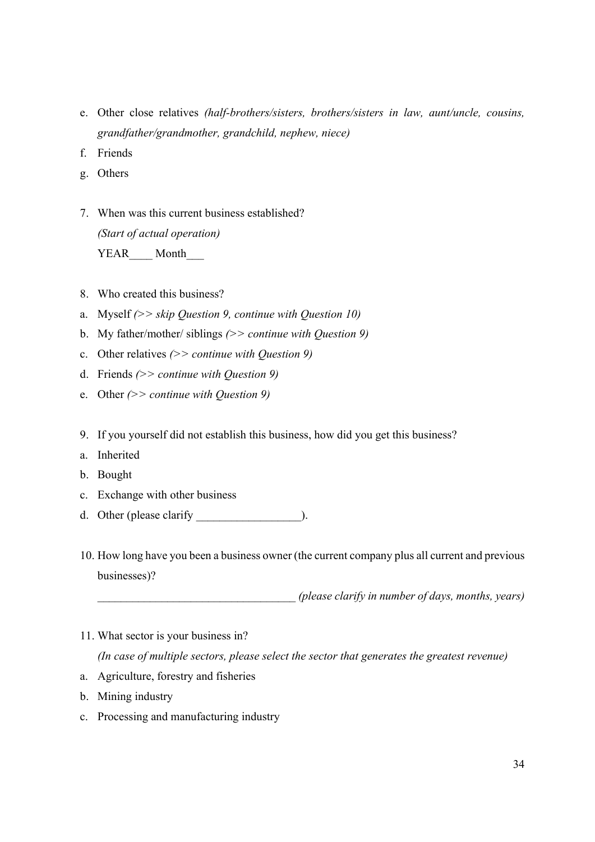- e. Other close relatives *(half-brothers/sisters, brothers/sisters in law, aunt/uncle, cousins, grandfather/grandmother, grandchild, nephew, niece)*
- f. Friends
- g. Others
- 7. When was this current business established? *(Start of actual operation)*  YEAR Month
- 8. Who created this business?
- a. Myself *(>> skip Question 9, continue with Question 10)*
- b. My father/mother/ siblings *(>> continue with Question 9)*
- c. Other relatives *(>> continue with Question 9)*
- d. Friends *(>> continue with Question 9)*
- e. Other *(>> continue with Question 9)*
- 9. If you yourself did not establish this business, how did you get this business?
- a. Inherited
- b. Bought
- c. Exchange with other business
- d. Other (please clarify  $\qquad \qquad$  ).
- 10. How long have you been a business owner (the current company plus all current and previous businesses)?

\_\_\_\_\_\_\_\_\_\_\_\_\_\_\_\_\_\_\_\_\_\_\_\_\_\_\_\_\_\_\_\_\_\_ *(please clarify in number of days, months, years)* 

11. What sector is your business in?

*(In case of multiple sectors, please select the sector that generates the greatest revenue)* 

- a. Agriculture, forestry and fisheries
- b. Mining industry
- c. Processing and manufacturing industry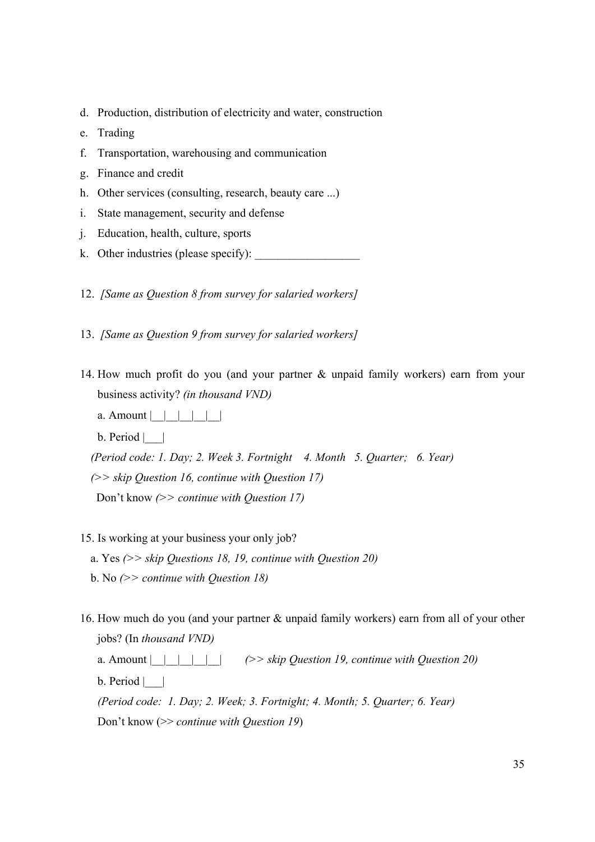- d. Production, distribution of electricity and water, construction
- e. Trading
- f. Transportation, warehousing and communication
- g. Finance and credit
- h. Other services (consulting, research, beauty care ...)
- i. State management, security and defense
- j. Education, health, culture, sports
- k. Other industries (please specify):
- 12. *[Same as Question 8 from survey for salaried workers]*
- 13. *[Same as Question 9 from survey for salaried workers]*
- 14. How much profit do you (and your partner & unpaid family workers) earn from your business activity? *(in thousand VND)*
	- a. Amount  $| \ | \ | \ | \ |$
	- $b. Period |$

*(Period code: 1. Day; 2. Week 3. Fortnight 4. Month 5. Quarter; 6. Year) (>> skip Question 16, continue with Question 17)* 

Don't know *(>> continue with Question 17)* 

15. Is working at your business your only job?

a. Yes *(>> skip Questions 18, 19, continue with Question 20)*

- b. No *(>> continue with Question 18)*
- 16. How much do you (and your partner & unpaid family workers) earn from all of your other jobs? (In *thousand VND)*

a. Amount  $| \cdot | \cdot |$   $| \cdot |$   $( \gt$  *skip Question 19, continue with Question 20)*  $b. Period |$ *(Period code: 1. Day; 2. Week; 3. Fortnight; 4. Month; 5. Quarter; 6. Year)*  Don't know (>> *continue with Question 19*)